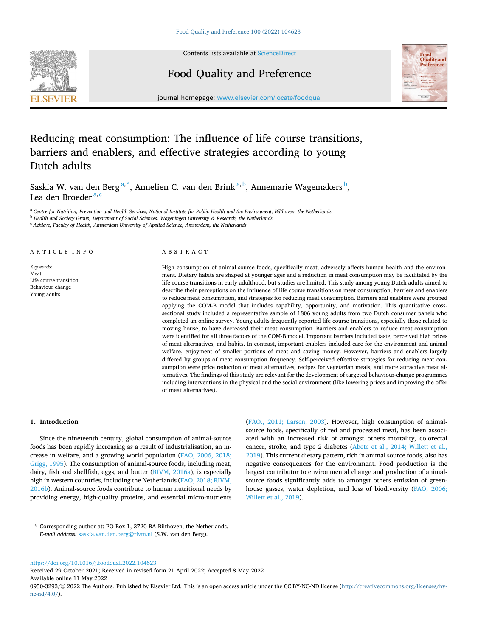

Contents lists available at [ScienceDirect](www.sciencedirect.com/science/journal/09503293)

# Food Quality and Preference



journal homepage: [www.elsevier.com/locate/foodqual](https://www.elsevier.com/locate/foodqual)

# Reducing meat consumption: The influence of life course transitions, barriers and enablers, and effective strategies according to young Dutch adults

Saskia W. van den Berg<sup>a,\*</sup>, Annelien C. van den Brink<sup>a, b</sup>, Annemarie Wagemakers <sup>b</sup>, Lea den Broeder<sup>a, c</sup>

<sup>a</sup> *Centre for Nutrition, Prevention and Health Services, National Institute for Public Health and the Environment, Bilthoven, the Netherlands* <sup>b</sup> *Health and Society Group, Department of Social Sciences, Wageningen University & Research, the Netherlands* 

<sup>c</sup> *Achieve, Faculty of Health, Amsterdam University of Applied Science, Amsterdam, the Netherlands* 

## ARTICLE INFO

*Keywords:*  Meat Life course transition Behaviour change Young adults

#### ABSTRACT

High consumption of animal-source foods, specifically meat, adversely affects human health and the environment. Dietary habits are shaped at younger ages and a reduction in meat consumption may be facilitated by the life course transitions in early adulthood, but studies are limited. This study among young Dutch adults aimed to describe their perceptions on the influence of life course transitions on meat consumption, barriers and enablers to reduce meat consumption, and strategies for reducing meat consumption. Barriers and enablers were grouped applying the COM-B model that includes capability, opportunity, and motivation. This quantitative crosssectional study included a representative sample of 1806 young adults from two Dutch consumer panels who completed an online survey. Young adults frequently reported life course transitions, especially those related to moving house, to have decreased their meat consumption. Barriers and enablers to reduce meat consumption were identified for all three factors of the COM-B model. Important barriers included taste, perceived high prices of meat alternatives, and habits. In contrast, important enablers included care for the environment and animal welfare, enjoyment of smaller portions of meat and saving money. However, barriers and enablers largely differed by groups of meat consumption frequency. Self-perceived effective strategies for reducing meat consumption were price reduction of meat alternatives, recipes for vegetarian meals, and more attractive meat alternatives. The findings of this study are relevant for the development of targeted behaviour-change programmes including interventions in the physical and the social environment (like lowering prices and improving the offer of meat alternatives).

#### **1. Introduction**

Since the nineteenth century, global consumption of animal-source foods has been rapidly increasing as a result of industrialisation, an increase in welfare, and a growing world population [\(FAO, 2006, 2018;](#page-12-0)  [Grigg, 1995](#page-12-0)). The consumption of animal-source foods, including meat, dairy, fish and shellfish, eggs, and butter [\(RIVM, 2016a\)](#page-12-0), is especially high in western countries, including the Netherlands ([FAO, 2018; RIVM,](#page-12-0)  [2016b\)](#page-12-0). Animal-source foods contribute to human nutritional needs by providing energy, high-quality proteins, and essential micro-nutrients ([FAO., 2011; Larsen, 2003](#page-12-0)). However, high consumption of animalsource foods, specifically of red and processed meat, has been associated with an increased risk of amongst others mortality, colorectal cancer, stroke, and type 2 diabetes [\(Abete et al., 2014; Willett et al.,](#page-12-0)  [2019\)](#page-12-0). This current dietary pattern, rich in animal source foods, also has negative consequences for the environment. Food production is the largest contributor to environmental change and production of animalsource foods significantly adds to amongst others emission of greenhouse gasses, water depletion, and loss of biodiversity ([FAO, 2006;](#page-12-0)  [Willett et al., 2019](#page-12-0)).

<https://doi.org/10.1016/j.foodqual.2022.104623>

Available online 11 May 2022 Received 29 October 2021; Received in revised form 21 April 2022; Accepted 8 May 2022

<sup>\*</sup> Corresponding author at: PO Box 1, 3720 BA Bilthoven, the Netherlands. *E-mail address:* [saskia.van.den.berg@rivm.nl](mailto:saskia.van.den.berg@rivm.nl) (S.W. van den Berg).

<sup>0950-3293/© 2022</sup> The Authors. Published by Elsevier Ltd. This is an open access article under the CC BY-NC-ND license([http://creativecommons.org/licenses/by](http://creativecommons.org/licenses/by-nc-nd/4.0/)[nc-nd/4.0/](http://creativecommons.org/licenses/by-nc-nd/4.0/)).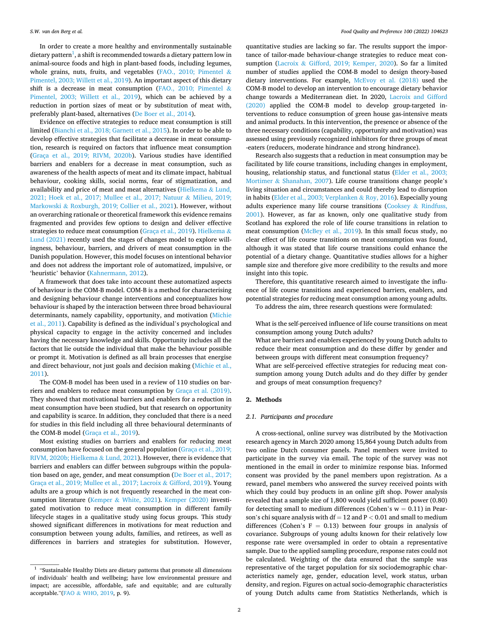In order to create a more healthy and environmentally sustainable dietary pattern $^{\rm l}$ , a shift is recommended towards a dietary pattern low in animal-source foods and high in plant-based foods, including legumes, whole grains, nuts, fruits, and vegetables ([FAO., 2010; Pimentel](#page-12-0)  $\&$ [Pimentel, 2003; Willett et al., 2019](#page-12-0)). An important aspect of this dietary shift is a decrease in meat consumption ([FAO., 2010; Pimentel](#page-12-0)  $\&$ [Pimentel, 2003; Willett et al., 2019\)](#page-12-0), which can be achieved by a reduction in portion sizes of meat or by substitution of meat with, preferably plant-based, alternatives [\(De Boer et al., 2014\)](#page-12-0).

Evidence on effective strategies to reduce meat consumption is still limited ([Bianchi et al., 2018; Garnett et al., 2015](#page-12-0)). In order to be able to develop effective strategies that facilitate a decrease in meat consumption, research is required on factors that influence meat consumption ([Graça et al., 2019; RIVM, 2020b\)](#page-12-0). Various studies have identified barriers and enablers for a decrease in meat consumption, such as awareness of the health aspects of meat and its climate impact, habitual behaviour, cooking skills, social norms, fear of stigmatization, and availability and price of meat and meat alternatives ([Hielkema](#page-12-0) & Lund, [2021; Hoek et al., 2017; Mullee et al., 2017; Natuur](#page-12-0) & Milieu, 2019; Markowski & [Roxburgh, 2019; Collier et al., 2021\)](#page-12-0). However, without an overarching rationale or theoretical framework this evidence remains fragmented and provides few options to design and deliver effective strategies to reduce meat consumption ([Graça et al., 2019\)](#page-12-0). [Hielkema](#page-12-0) & [Lund \(2021\)](#page-12-0) recently used the stages of changes model to explore willingness, behaviour, barriers, and drivers of meat consumption in the Danish population. However, this model focuses on intentional behavior and does not address the important role of automatized, impulsive, or 'heuristic' behavior ([Kahnermann, 2012](#page-12-0)).

A framework that does take into account these automatized aspects of behaviour is the COM-B model. COM-B is a method for characterising and designing behaviour change interventions and conceptualizes how behaviour is shaped by the interaction between three broad behavioural determinants, namely capability, opportunity, and motivation ([Michie](#page-12-0)  [et al., 2011](#page-12-0)). Capability is defined as the individual's psychological and physical capacity to engage in the activity concerned and includes having the necessary knowledge and skills. Opportunity includes all the factors that lie outside the individual that make the behaviour possible or prompt it. Motivation is defined as all brain processes that energise and direct behaviour, not just goals and decision making ([Michie et al.,](#page-12-0)  [2011\)](#page-12-0).

The COM-B model has been used in a review of 110 studies on barriers and enablers to reduce meat consumption by [Graça et al. \(2019\)](#page-12-0). They showed that motivational barriers and enablers for a reduction in meat consumption have been studied, but that research on opportunity and capability is scarce. In addition, they concluded that there is a need for studies in this field including all three behavioural determinants of the COM-B model [\(Graça et al., 2019](#page-12-0)).

Most existing studies on barriers and enablers for reducing meat consumption have focused on the general population ([Graça et al., 2019;](#page-12-0)  [RIVM, 2020b; Hielkema](#page-12-0) & Lund, 2021). However, there is evidence that barriers and enablers can differ between subgroups within the population based on age, gender, and meat consumption ([De Boer et al., 2017;](#page-12-0)  [Graça et al., 2019; Mullee et al., 2017; Lacroix](#page-12-0) & Gifford, 2019). Young adults are a group which is not frequently researched in the meat consumption literature (Kemper & [White, 2021\)](#page-12-0). [Kemper \(2020\)](#page-12-0) investigated motivation to reduce meat consumption in different family lifecycle stages in a qualitative study using focus groups. This study showed significant differences in motivations for meat reduction and consumption between young adults, families, and retirees, as well as differences in barriers and strategies for substitution. However,

quantitative studies are lacking so far. The results support the importance of tailor-made behaviour-change strategies to reduce meat consumption (Lacroix & [Gifford, 2019; Kemper, 2020\)](#page-12-0). So far a limited number of studies applied the COM-B model to design theory-based dietary interventions. For example, [McEvoy et al. \(2018\)](#page-12-0) used the COM-B model to develop an intervention to encourage dietary behavior change towards a Mediterranean diet. In 2020, [Lacroix and Gifford](#page-12-0)  [\(2020\)](#page-12-0) applied the COM-B model to develop group-targeted interventions to reduce consumption of green house gas-intensive meats and animal products. In this intervention, the presence or absence of the three necessary conditions (capability, opportunity and motivation) was assessed using previously recognized inhibitors for three groups of meat -eaters (reducers, moderate hindrance and strong hindrance).

Research also suggests that a reduction in meat consumption may be facilitated by life course transitions, including changes in employment, housing, relationship status, and functional status [\(Elder et al., 2003;](#page-12-0)  Mortimer & [Shanahan, 2007\)](#page-12-0). Life course transitions change people's living situation and circumstances and could thereby lead to disruption in habits ([Elder et al., 2003; Verplanken](#page-12-0) & Roy, 2016). Especially young adults experience many life course transitions (Cooksey & [Rindfuss,](#page-12-0)  [2001\)](#page-12-0). However, as far as known, only one qualitative study from Scotland has explored the role of life course transitions in relation to meat consumption ([McBey et al., 2019\)](#page-12-0). In this small focus study, no clear effect of life course transitions on meat consumption was found, although it was stated that life course transitions could enhance the potential of a dietary change. Quantitative studies allows for a higher sample size and therefore give more credibility to the results and more insight into this topic.

Therefore, this quantitative research aimed to investigate the influence of life course transitions and experienced barriers, enablers, and potential strategies for reducing meat consumption among young adults.

To address the aim, three research questions were formulated:

What is the self-perceived influence of life course transitions on meat consumption among young Dutch adults?

What are barriers and enablers experienced by young Dutch adults to reduce their meat consumption and do these differ by gender and between groups with different meat consumption frequency? What are self-perceived effective strategies for reducing meat consumption among young Dutch adults and do they differ by gender and groups of meat consumption frequency?

#### **2. Methods**

## *2.1. Participants and procedure*

A cross-sectional, online survey was distributed by the Motivaction research agency in March 2020 among 15,864 young Dutch adults from two online Dutch consumer panels. Panel members were invited to participate in the survey via email. The topic of the survey was not mentioned in the email in order to minimize response bias. Informed consent was provided by the panel members upon registration. As a reward, panel members who answered the survey received points with which they could buy products in an online gift shop. Power analysis revealed that a sample size of 1,800 would yield sufficient power (0.80) for detecting small to medium differences (Cohen's  $w = 0.11$ ) in Pearson's chi square analysis with df = 12 and P *<* 0.01 and small to medium differences (Cohen's  $F = 0.13$ ) between four groups in analysis of covariance. Subgroups of young adults known for their relatively low response rate were oversampled in order to obtain a representative sample. Due to the applied sampling procedure, response rates could not be calculated. Weighting of the data ensured that the sample was representative of the target population for six sociodemographic characteristics namely age, gender, education level, work status, urban density, and region. Figures on actual socio-demographic characteristics of young Dutch adults came from Statistics Netherlands, which is

 $^{\rm 1}$  "Sustainable Healthy Diets are dietary patterns that promote all dimensions of individuals' health and wellbeing; have low environmental pressure and impact; are accessible, affordable, safe and equitable; and are culturally acceptable."(FAO & [WHO, 2019](#page-12-0), p. 9).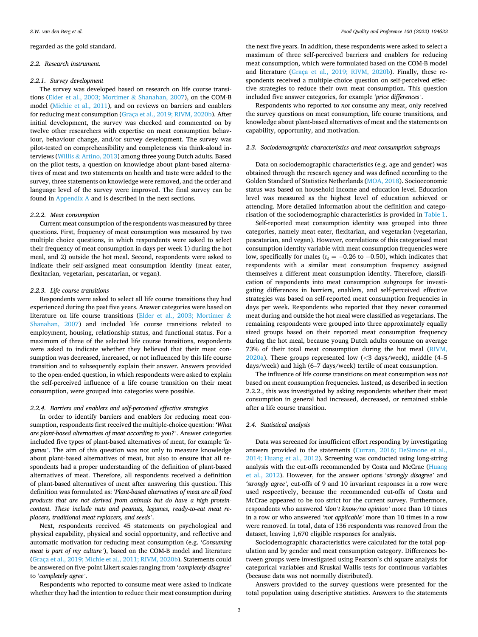regarded as the gold standard.

#### *2.2. Research instrument.*

#### *2.2.1. Survey development*

The survey was developed based on research on life course transitions [\(Elder et al., 2003; Mortimer](#page-12-0) & Shanahan, 2007), on the COM-B model ([Michie et al., 2011](#page-12-0)), and on reviews on barriers and enablers for reducing meat consumption ([Graça et al., 2019; RIVM, 2020b\)](#page-12-0). After initial development, the survey was checked and commented on by twelve other researchers with expertise on meat consumption behaviour, behaviour change, and/or survey development. The survey was pilot-tested on comprehensibility and completeness via think-aloud interviews (Willis & [Artino, 2013](#page-13-0)) among three young Dutch adults. Based on the pilot tests, a question on knowledge about plant-based alternatives of meat and two statements on health and taste were added to the survey, three statements on knowledge were removed, and the order and language level of the survey were improved. The final survey can be found in Appendix A and is described in the next sections.

#### *2.2.2. Meat consumption*

Current meat consumption of the respondents was measured by three questions. First, frequency of meat consumption was measured by two multiple choice questions, in which respondents were asked to select their frequency of meat consumption in days per week 1) during the hot meal, and 2) outside the hot meal. Second, respondents were asked to indicate their self-assigned meat consumption identity (meat eater, flexitarian, vegetarian, pescatarian, or vegan).

# *2.2.3. Life course transitions*

Respondents were asked to select all life course transitions they had experienced during the past five years. Answer categories were based on literature on life course transitions [\(Elder et al., 2003; Mortimer](#page-12-0) & [Shanahan, 2007](#page-12-0)) and included life course transitions related to employment, housing, relationship status, and functional status. For a maximum of three of the selected life course transitions, respondents were asked to indicate whether they believed that their meat consumption was decreased, increased, or not influenced by this life course transition and to subsequently explain their answer. Answers provided to the open-ended question, in which respondents were asked to explain the self-perceived influence of a life course transition on their meat consumption, were grouped into categories were possible.

# *2.2.4. Barriers and enablers and self-perceived effective strategies*

In order to identify barriers and enablers for reducing meat consumption, respondents first received the multiple-choice question: *'What are plant-based alternatives of meat according to you?'*. Answer categories included five types of plant-based alternatives of meat, for example '*legumes'*. The aim of this question was not only to measure knowledge about plant-based alternatives of meat, but also to ensure that all respondents had a proper understanding of the definition of plant-based alternatives of meat. Therefore, all respondents received a definition of plant-based alternatives of meat after answering this question. This definition was formulated as: '*Plant-based alternatives of meat are all food products that are not derived from animals but do have a high proteincontent. These include nuts and peanuts, legumes, ready-to-eat meat replacers, traditional meat replacers, and seeds'*.

Next, respondents received 45 statements on psychological and physical capability, physical and social opportunity, and reflective and automatic motivation for reducing meat consumption (e.g. '*Consuming meat is part of my culture'*), based on the COM-B model and literature ([Graça et al., 2019; Michie et al., 2011; RIVM, 2020b\)](#page-12-0). Statements could be answered on five-point Likert scales ranging from '*completely disagree'*  to '*completely agree'*.

Respondents who reported to consume meat were asked to indicate whether they had the intention to reduce their meat consumption during

the next five years. In addition, these respondents were asked to select a maximum of three self-perceived barriers and enablers for reducing meat consumption, which were formulated based on the COM-B model and literature [\(Graça et al., 2019; RIVM, 2020b](#page-12-0)). Finally, these respondents received a multiple-choice question on self-perceived effective strategies to reduce their own meat consumption. This question included five answer categories, for example '*price differences'*.

Respondents who reported to *not* consume any meat, only received the survey questions on meat consumption, life course transitions, and knowledge about plant-based alternatives of meat and the statements on capability, opportunity, and motivation.

# *2.3. Sociodemographic characteristics and meat consumption subgroups*

Data on sociodemographic characteristics (e.g. age and gender) was obtained through the research agency and was defined according to the Golden Standard of Statistics Netherlands [\(MOA, 2018\)](#page-12-0). Socioeconomic status was based on household income and education level. Education level was measured as the highest level of education achieved or attending. More detailed information about the definition and categorisation of the sociodemographic characteristics is provided in [Table 1](#page-3-0).

Self-reported meat consumption identity was grouped into three categories, namely meat eater, flexitarian, and vegetarian (vegetarian, pescatarian, and vegan). However, correlations of this categorised meat consumption identity variable with meat consumption frequencies were low, specifically for males ( $r_s = -0.26$  to  $-0.50$ ), which indicates that respondents with a similar meat consumption frequency assigned themselves a different meat consumption identity. Therefore, classification of respondents into meat consumption subgroups for investigating differences in barriers, enablers, and self-perceived effective strategies was based on self-reported meat consumption frequencies in days per week. Respondents who reported that they never consumed meat during and outside the hot meal were classified as vegetarians. The remaining respondents were grouped into three approximately equally sized groups based on their reported meat consumption frequency during the hot meal, because young Dutch adults consume on average 73% of their total meat consumption during the hot meal [\(RIVM,](#page-12-0)  [2020a\)](#page-12-0). These groups represented low (*<*3 days/week), middle (4–5 days/week) and high (6–7 days/week) tertile of meat consumption.

The influence of life course transitions on meat consumption was *not*  based on meat consumption frequencies. Instead, as described in section 2.2.2., this was investigated by asking respondents whether their meat consumption in general had increased, decreased, or remained stable after a life course transition.

## *2.4. Statistical analysis*

Data was screened for insufficient effort responding by investigating answers provided to the statements [\(Curran, 2016; DeSimone et al.,](#page-12-0)  [2014; Huang et al., 2012\)](#page-12-0). Screening was conducted using long-string analysis with the cut-offs recommended by Costa and McCrae [\(Huang](#page-12-0)  [et al., 2012\)](#page-12-0). However, for the answer options '*strongly disagree'* and *'strongly agree',* cut-offs of 9 and 10 invariant responses in a row were used respectively, because the recommended cut-offs of Costa and McCrae appeared to be too strict for the current survey. Furthermore, respondents who answered *'don't know/no opinion'* more than 10 times in a row or who answered *'not applicable'* more than 10 times in a row were removed. In total, data of 136 respondents was removed from the dataset, leaving 1,670 eligible responses for analysis.

Sociodemographic characteristics were calculated for the total population and by gender and meat consumption category. Differences between groups were investigated using Pearson's chi square analysis for categorical variables and Kruskal Wallis tests for continuous variables (because data was not normally distributed).

Answers provided to the survey questions were presented for the total population using descriptive statistics. Answers to the statements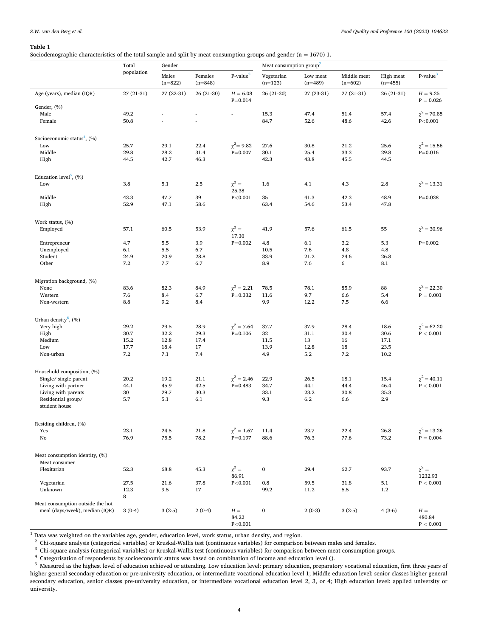<span id="page-3-0"></span>Sociodemographic characteristics of the total sample and split by meat consumption groups and gender  $(n = 1670)$  1.

|                                                 | Total        | Gender             |                      |                           | Meat consumption group <sup>7</sup> |                       |                          |                        |                                    |  |  |
|-------------------------------------------------|--------------|--------------------|----------------------|---------------------------|-------------------------------------|-----------------------|--------------------------|------------------------|------------------------------------|--|--|
|                                                 | population   | Males<br>$(n=822)$ | Females<br>$(n=848)$ | $P-value2$                | Vegetarian<br>$(n=123)$             | Low meat<br>$(n=489)$ | Middle meat<br>$(n=602)$ | High meat<br>$(n=455)$ | $P-value3$                         |  |  |
| Age (years), median (IQR)                       | 27 (21-31)   | 27 (22-31)         | 26 (21-30)           | $H = 6.08$<br>$P = 0.014$ | 26 (21-30)                          | 27 (23-31)            | 27 (21-31)               | 26 (21-31)             | $H = 9.25$<br>$P = 0.026$          |  |  |
| Gender, (%)                                     |              |                    |                      |                           |                                     |                       |                          |                        |                                    |  |  |
| Male                                            | 49.2         |                    |                      | L,                        | 15.3                                | 47.4                  | 51.4                     | 57.4                   | $\chi^2 = 70.85$                   |  |  |
| Female                                          | 50.8         |                    |                      |                           | 84.7                                | 52.6                  | 48.6                     | 42.6                   | P<0.001                            |  |  |
| Socioeconomic status <sup>4</sup> , $(\%)$      |              |                    |                      |                           |                                     |                       |                          |                        |                                    |  |  |
| Low                                             | 25.7         | 29.1               | 22.4                 | $\chi^2=9.82$             | 27.6                                | 30.8                  | 21.2                     | 25.6                   | $\chi^2=15.56$                     |  |  |
| Middle                                          | 29.8         | 28.2               | 31.4                 | $P = 0.007$               | 30.1                                | 25.4                  | 33.3                     | 29.8                   | $P = 0.016$                        |  |  |
| High                                            | 44.5         | 42.7               | 46.3                 |                           | 42.3                                | 43.8                  | 45.5                     | 44.5                   |                                    |  |  |
|                                                 |              |                    |                      |                           |                                     |                       |                          |                        |                                    |  |  |
| Education level <sup>5</sup> , $(\% )$<br>Low   |              |                    |                      | $\chi^2 =$                |                                     |                       |                          |                        | $\chi^2 = 13.31$                   |  |  |
|                                                 | 3.8          | 5.1                | 2.5                  | 25.38                     | 1.6                                 | 4.1                   | 4.3                      | 2.8                    |                                    |  |  |
| Middle                                          | 43.3         | 47.7               | 39                   | P < 0.001                 | 35                                  | 41.3                  | 42.3                     | 48.9                   | $P = 0.038$                        |  |  |
| High                                            | 52.9         | 47.1               | 58.6                 |                           | 63.4                                | 54.6                  | 53.4                     | 47.8                   |                                    |  |  |
| Work status, (%)                                |              |                    |                      |                           |                                     |                       |                          |                        |                                    |  |  |
| Employed                                        | 57.1         | 60.5               | 53.9                 | $\chi^2 =$                | 41.9                                | 57.6                  | 61.5                     | 55                     | $\chi^2 = 30.96$                   |  |  |
|                                                 |              |                    |                      | 17.30                     |                                     |                       |                          |                        |                                    |  |  |
| Entrepreneur                                    | 4.7          | 5.5                | 3.9                  | $P = 0.002$               | 4.8                                 | 6.1                   | 3.2                      | 5.3                    | $P = 0.002$                        |  |  |
| Unemployed                                      | 6.1          | 5.5                | 6.7                  |                           | 10.5                                | 7.6                   | 4.8                      | 4.8                    |                                    |  |  |
| Student                                         | 24.9         | 20.9               | 28.8                 |                           | 33.9                                | 21.2                  | 24.6                     | 26.8                   |                                    |  |  |
| Other                                           | 7.2          | 7.7                | 6.7                  |                           | 8.9                                 | 7.6                   | 6                        | 8.1                    |                                    |  |  |
| Migration background, (%)                       |              |                    |                      |                           |                                     |                       |                          |                        |                                    |  |  |
| None                                            | 83.6         | 82.3               | 84.9                 | $\chi^2 = 2.21$           | 78.5                                | 78.1                  | 85.9                     | 88                     | $\chi^2$ = 22.30                   |  |  |
| Western                                         | 7.6          | 8.4                | 6.7                  | $P = 0.332$               | 11.6                                | 9.7                   | 6.6                      | 5.4                    | $\mathrm{P}=0.001$                 |  |  |
| Non-western                                     | 8.8          | 9.2                | 8.4                  |                           | 9.9                                 | 12.2                  | 7.5                      | 6.6                    |                                    |  |  |
| Urban density <sup>6</sup> , $(\%)$             |              |                    |                      |                           |                                     |                       |                          |                        |                                    |  |  |
| Very high                                       | 29.2         | 29.5               | 28.9                 | $\chi^2 = 7.64$           | 37.7                                | 37.9                  | 28.4                     | 18.6                   | $\chi^2$ = 62.20                   |  |  |
| High                                            | 30.7         | 32.2               | 29.3                 | $P = 0.106$               | 32                                  | 31.1                  | 30.4                     | 30.6                   | $\rm P < 0.001$                    |  |  |
| Medium                                          | 15.2         | 12.8               | 17.4                 |                           | 11.5                                | 13                    | 16                       | 17.1                   |                                    |  |  |
| Low                                             | 17.7         | 18.4               | 17                   |                           | 13.9                                | 12.8                  | 18                       | 23.5                   |                                    |  |  |
| Non-urban                                       | 7.2          | 7.1                | 7.4                  |                           | 4.9                                 | 5.2                   | 7.2                      | 10.2                   |                                    |  |  |
|                                                 |              |                    |                      |                           |                                     |                       |                          |                        |                                    |  |  |
| Household composition, (%)                      |              |                    |                      |                           |                                     |                       |                          |                        |                                    |  |  |
| Single/ single parent                           | 20.2         | 19.2               | 21.1                 | $\chi^2 = 2.46$           | 22.9                                | 26.5                  | 18.1                     | 15.4                   | $\chi^2$ = 40.11                   |  |  |
| Living with partner                             | 44.1         | 45.9               | 42.5                 | $P = 0.483$               | 34.7                                | 44.1                  | 44.4                     | 46.4                   | $\rm P < 0.001$                    |  |  |
| Living with parents                             | 30           | 29.7               | 30.3                 |                           | 33.1                                | 23.2                  | 30.8                     | 35.3                   |                                    |  |  |
| Residential group/<br>student house             | 5.7          | 5.1                | 6.1                  |                           | 9.3                                 | 6.2                   | 6.6                      | 2.9                    |                                    |  |  |
|                                                 |              |                    |                      |                           |                                     |                       |                          |                        |                                    |  |  |
| Residing children, (%)                          |              |                    |                      |                           |                                     |                       |                          |                        |                                    |  |  |
| Yes                                             | 23.1         | 24.5               | 21.8                 | $\chi^2=1.67$             | 11.4                                | 23.7                  | 22.4                     | 26.8                   | $\chi^2 = 13.26$                   |  |  |
| No                                              | 76.9         | 75.5               | 78.2                 | $P = 0.197$               | 88.6                                | 76.3                  | 77.6                     | 73.2                   | $P = 0.004$                        |  |  |
| Meat consumption identity, (%)<br>Meat consumer |              |                    |                      |                           |                                     |                       |                          |                        |                                    |  |  |
| Flexitarian                                     | 52.3         | 68.8               | 45.3                 | $\chi^2=$                 | $\boldsymbol{0}$                    | 29.4                  | 62.7                     | 93.7                   | $\chi^2 =$                         |  |  |
|                                                 |              |                    |                      | 86.91                     |                                     |                       |                          |                        | 1232.93                            |  |  |
| Vegetarian<br>Unknown                           | 27.5<br>12.3 | 21.6<br>9.5        | 37.8<br>17           | P < 0.001                 | $\rm 0.8$<br>99.2                   | 59.5<br>11.2          | 31.8<br>5.5              | 5.1<br>$1.2\,$         | $\rm P < 0.001$                    |  |  |
|                                                 | 8            |                    |                      |                           |                                     |                       |                          |                        |                                    |  |  |
| Meat consumption outside the hot                |              |                    |                      |                           |                                     |                       |                          |                        |                                    |  |  |
| meal (days/week), median (IQR)                  | $3(0-4)$     | $3(2-5)$           | $2(0-4)$             | $H =$<br>84.22<br>P<0.001 | $\boldsymbol{0}$                    | $2(0-3)$              | $3(2-5)$                 | $4(3-6)$               | $H =$<br>480.84<br>$\rm P < 0.001$ |  |  |

 $^1$  Data was weighted on the variables age, gender, education level, work status, urban density, and region.<br>  $^2$  Chi-square analysis (categorical variables) or Kruskal-Wallis test (continuous variables) for comparison higher general secondary education or pre-university education, or intermediate vocational education level 1; Middle education level: senior classes higher general secondary education, senior classes pre-university education, or intermediate vocational education level 2, 3, or 4; High education level: applied university or university.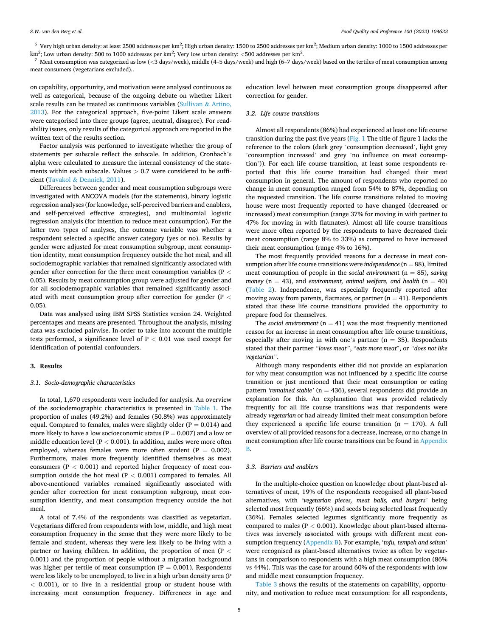<span id="page-4-0"></span> $^6\,$  Very high urban density: at least 2500 addresses per km $^2$ ; High urban density: 1500 to 2500 addresses per km $^2$ ; Medium urban density: 1000 to 1500 addresses per km<sup>2</sup>; Low urban density: 500 to 1000 addresses per km<sup>2</sup>; Very low urban density: <500 addresses per km<sup>2</sup>

. 7 Meat consumption was categorized as low (*<*3 days/week), middle (4–5 days/week) and high (6–7 days/week) based on the tertiles of meat consumption among meat consumers (vegetarians excluded)..

on capability, opportunity, and motivation were analysed continuous as well as categorical, because of the ongoing debate on whether Likert scale results can be treated as continuous variables [\(Sullivan](#page-12-0) & Artino, [2013\)](#page-12-0). For the categorical approach, five-point Likert scale answers were categorised into three groups (agree, neutral, disagree). For readability issues, only results of the categorical approach are reported in the written text of the results section.

Factor analysis was performed to investigate whether the group of statements per subscale reflect the subscale. In addition, Cronbach's alpha were calculated to measure the internal consistency of the statements within each subscale. Values *>* 0.7 were considered to be sufficient (Tavakol & [Dennick, 2011\)](#page-12-0).

Differences between gender and meat consumption subgroups were investigated with ANCOVA models (for the statements), binary logistic regression analyses (for knowledge, self-perceived barriers and enablers, and self-perceived effective strategies), and multinomial logistic regression analysis (for intention to reduce meat consumption). For the latter two types of analyses, the outcome variable was whether a respondent selected a specific answer category (yes or no). Results by gender were adjusted for meat consumption subgroup, meat consumption identity, meat consumption frequency outside the hot meal, and all sociodemographic variables that remained significantly associated with gender after correction for the three meat consumption variables (P *<* 0.05). Results by meat consumption group were adjusted for gender and for all sociodemographic variables that remained significantly associated with meat consumption group after correction for gender (P *<* 0.05).

Data was analysed using IBM SPSS Statistics version 24. Weighted percentages and means are presented. Throughout the analysis, missing data was excluded pairwise. In order to take into account the multiple tests performed, a significance level of P *<* 0.01 was used except for identification of potential confounders.

#### **3. Results**

# *3.1. Socio-demographic characteristics*

In total, 1,670 respondents were included for analysis. An overview of the sociodemographic characteristics is presented in [Table 1.](#page-3-0) The proportion of males (49.2%) and females (50.8%) was approximately equal. Compared to females, males were slightly older ( $P = 0.014$ ) and more likely to have a low socioeconomic status ( $P = 0.007$ ) and a low or middle education level (P *<* 0.001). In addition, males were more often employed, whereas females were more often student ( $P = 0.002$ ). Furthermore, males more frequently identified themselves as meat consumers (P *<* 0.001) and reported higher frequency of meat consumption outside the hot meal (P *<* 0.001) compared to females. All above-mentioned variables remained significantly associated with gender after correction for meat consumption subgroup, meat consumption identity, and meat consumption frequency outside the hot meal.

A total of 7.4% of the respondents was classified as vegetarian. Vegetarians differed from respondents with low, middle, and high meat consumption frequency in the sense that they were more likely to be female and student, whereas they were less likely to be living with a partner or having children. In addition, the proportion of men (P *<* 0.001) and the proportion of people without a migration background was higher per tertile of meat consumption ( $P = 0.001$ ). Respondents were less likely to be unemployed, to live in a high urban density area (P *<* 0.001), or to live in a residential group or student house with increasing meat consumption frequency. Differences in age and education level between meat consumption groups disappeared after correction for gender.

# *3.2. Life course transitions*

Almost all respondents (86%) had experienced at least one life course transition during the past five years ([Fig. 1](#page-5-0) The title of figure 1 lacks the reference to the colors (dark grey 'consumption decreased', light grey 'consumption increased' and grey 'no influence on meat consumption')). For each life course transition, at least some respondents reported that this life course transition had changed their meat consumption in general. The amount of respondents who reported no change in meat consumption ranged from 54% to 87%, depending on the requested transition. The life course transitions related to moving house were most frequently reported to have changed (decreased or increased) meat consumption (range 37% for moving in with partner to 47% for moving in with flatmates). Almost all life course transitions were more often reported by the respondents to have decreased their meat consumption (range 8% to 33%) as compared to have increased their meat consumption (range 4% to 16%).

The most frequently provided reasons for a decrease in meat consumption after life course transitions were *independence*  $(n = 88)$ , limited meat consumption of people in the *social environment* (n = 85), *saving money* ( $n = 43$ ), and *environment*, *animal welfare*, *and health* ( $n = 40$ ) ([Table 2\)](#page-5-0). Independence, was especially frequently reported after moving away from parents, flatmates, or partner  $(n = 41)$ . Respondents stated that these life course transitions provided the opportunity to prepare food for themselves.

The *social environment*  $(n = 41)$  was the most frequently mentioned reason for an increase in meat consumption after life course transitions, especially after moving in with one's partner ( $n = 35$ ). Respondents stated that their partner *"loves meat"*, "*eats more meat*", or *"does not like vegetarian"*.

Although many respondents either did not provide an explanation for why meat consumption was not influenced by a specific life course transition or just mentioned that their meat consumption or eating pattern *'remained stable'* (n = 436), several respondents did provide an explanation for this. An explanation that was provided relatively frequently for all life course transitions was that respondents were already *vegetarian* or had already limited their meat consumption before they experienced a specific life course transition ( $n = 170$ ). A full overview of all provided reasons for a decrease, increase, or no change in meat consumption after life course transitions can be found in Appendix B.

#### *3.3. Barriers and enablers*

In the multiple-choice question on knowledge about plant-based alternatives of meat, 19% of the respondents recognised all plant-based alternatives, with *'vegetarian pieces, meat balls, and burgers'* being selected most frequently (66%) and seeds being selected least frequently (36%). Females selected legumes significantly more frequently as compared to males (P *<* 0.001). Knowledge about plant-based alternatives was inversely associated with groups with different meat consumption frequency (Appendix B). For example, '*tofu, tempeh and seitan'*  were recognised as plant-based alternatives twice as often by vegetarians in comparison to respondents with a high meat consumption (86% vs 44%). This was the case for around 60% of the respondents with low and middle meat consumption frequency.

[Table 3](#page-6-0) shows the results of the statements on capability, opportunity, and motivation to reduce meat consumption: for all respondents,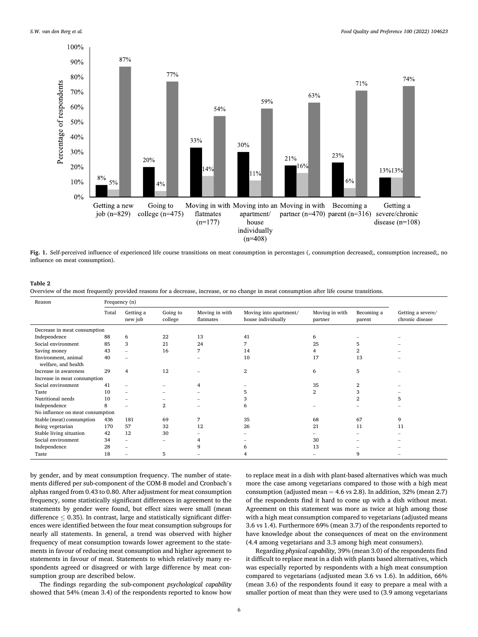<span id="page-5-0"></span>

**Fig. 1.** Self-perceived influence of experienced life course transitions on meat consumption in percentages (, consumption decreased;, consumption increased;, no influence on meat consumption).

Overview of the most frequently provided reasons for a decrease, increase, or no change in meat consumption after life course transitions.

| Reason                                     | Frequency (n) |                      |                     |                             |                                              |                           |                      |                                      |
|--------------------------------------------|---------------|----------------------|---------------------|-----------------------------|----------------------------------------------|---------------------------|----------------------|--------------------------------------|
|                                            | Total         | Getting a<br>new job | Going to<br>college | Moving in with<br>flatmates | Moving into apartment/<br>house individually | Moving in with<br>partner | Becoming a<br>parent | Getting a severe/<br>chronic disease |
| Decrease in meat consumption               |               |                      |                     |                             |                                              |                           |                      |                                      |
| Independence                               | 88            | 6                    | 22                  | 13                          | 41                                           | 6                         |                      |                                      |
| Social environment                         | 85            | 3                    | 21                  | 24                          |                                              | 25                        | 5                    |                                      |
| Saving money                               | 43            |                      | 16                  | 7                           | 14                                           |                           | 2                    |                                      |
| Environment, animal<br>welfare, and health | 40            |                      |                     |                             | 10                                           | 17                        | 13                   |                                      |
| Increase in awareness                      | 29            | 4                    | 12                  |                             | $\overline{2}$                               | 6                         | 5                    |                                      |
| Increase in meat consumption               |               |                      |                     |                             |                                              |                           |                      |                                      |
| Social environment                         | 41            |                      |                     | 4                           |                                              | 35                        | 2                    |                                      |
| Taste                                      | 10            |                      |                     |                             |                                              | $\overline{2}$            | 3                    |                                      |
| Nutritional needs                          | 10            |                      |                     |                             | 3                                            |                           | 2                    | 5                                    |
| Independence                               | 8             |                      | $\overline{2}$      |                             | 6                                            |                           |                      |                                      |
| No influence on meat consumption           |               |                      |                     |                             |                                              |                           |                      |                                      |
| Stable (meat) consumption                  | 436           | 181                  | 69                  | 7                           | 35                                           | 68                        | 67                   | 9                                    |
| Being vegetarian                           | 170           | 57                   | 32                  | 12                          | 26                                           | 21                        | 11                   | 11                                   |
| Stable living situation                    | 42            | 12                   | 30                  |                             |                                              |                           |                      |                                      |
| Social environment                         | 34            |                      |                     |                             |                                              | 30                        |                      |                                      |
| Independence                               | 28            |                      |                     | 9                           | 6                                            | 13                        |                      |                                      |
| Taste                                      | 18            |                      | 5                   |                             |                                              |                           | 9                    |                                      |

by gender, and by meat consumption frequency. The number of statements differed per sub-component of the COM-B model and Cronbach's alphas ranged from 0.43 to 0.80. After adjustment for meat consumption frequency, some statistically significant differences in agreement to the statements by gender were found, but effect sizes were small (mean difference  $\leq$  0.35). In contrast, large and statistically significant differences were identified between the four meat consumption subgroups for nearly all statements. In general, a trend was observed with higher frequency of meat consumption towards lower agreement to the statements in favour of reducing meat consumption and higher agreement to statements in favour of meat. Statements to which relatively many respondents agreed or disagreed or with large difference by meat consumption group are described below.

The findings regarding the sub-component *psychological capability*  showed that 54% (mean 3.4) of the respondents reported to know how

to replace meat in a dish with plant-based alternatives which was much more the case among vegetarians compared to those with a high meat consumption (adjusted mean  $= 4.6$  vs 2.8). In addition, 32% (mean 2.7) of the respondents find it hard to come up with a dish without meat. Agreement on this statement was more as twice at high among those with a high meat consumption compared to vegetarians (adjusted means 3.6 vs 1.4). Furthermore 69% (mean 3.7) of the respondents reported to have knowledge about the consequences of meat on the environment (4.4 among vegetarians and 3.3 among high meat consumers).

Regarding *physical capability,* 39% (mean 3.0) of the respondents find it difficult to replace meat in a dish with plants based alternatives, which was especially reported by respondents with a high meat consumption compared to vegetarians (adjusted mean 3.6 vs 1.6). In addition, 66% (mean 3.6) of the respondents found it easy to prepare a meal with a smaller portion of meat than they were used to (3.9 among vegetarians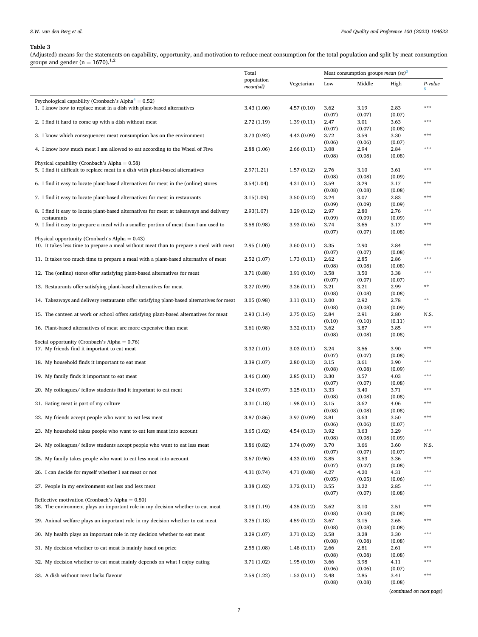# <span id="page-6-0"></span>*S.W. van den Berg et al.*

## **Table 3**

(Adjusted) means for the statements on capability, opportunity, and motivation to reduce meat consumption for the total population and split by meat consumption<br>groups and gender (n = 1670).<sup>1,2</sup>

|                                                                                                                                                                         | Total                    |             | Meat consumption groups mean $(se)^3$ |                          |                          |              |
|-------------------------------------------------------------------------------------------------------------------------------------------------------------------------|--------------------------|-------------|---------------------------------------|--------------------------|--------------------------|--------------|
|                                                                                                                                                                         | population<br>mean(sd)   | Vegetarian  | Low                                   | Middle                   | High                     | P-value<br>5 |
| Psychological capability (Cronbach's Alpha $4 = 0.52$ )<br>1. I know how to replace meat in a dish with plant-based alternatives                                        | 3.43(1.06)               | 4.57(0.10)  | 3.62                                  | 3.19                     | 2.83                     | ***          |
| 2. I find it hard to come up with a dish without meat                                                                                                                   | 2.72(1.19)               | 1.39(0.11)  | (0.07)<br>2.47                        | (0.07)<br>3.01           | (0.07)<br>3.63           | ***          |
| 3. I know which consequences meat consumption has on the environment                                                                                                    | 3.73 (0.92)              | 4.42 (0.09) | (0.07)<br>3.72                        | (0.07)<br>3.59           | (0.08)<br>3.30           | ***          |
| 4. I know how much meat I am allowed to eat according to the Wheel of Five                                                                                              | 2.88(1.06)               | 2.66(0.11)  | (0.06)<br>3.08                        | (0.06)<br>2.94           | (0.07)<br>2.84           | $* * *$      |
| Physical capability (Cronbach's Alpha = $0.58$ )<br>5. I find it difficult to replace meat in a dish with plant-based alternatives                                      |                          | 1.57(0.12)  | (0.08)                                | (0.08)                   | (0.08)                   | ***          |
| 6. I find it easy to locate plant-based alternatives for meat in the (online) stores                                                                                    | 2.97(1.21)<br>3.54(1.04) | 4.31(0.11)  | 2.76<br>(0.08)<br>3.59                | 3.10<br>(0.08)<br>3.29   | 3.61<br>(0.09)<br>3.17   | ***          |
|                                                                                                                                                                         | 3.15(1.09)               | 3.50(0.12)  | (0.08)<br>3.24                        | (0.08)<br>3.07           | (0.08)<br>2.83           | ***          |
| 7. I find it easy to locate plant-based alternatives for meat in restaurants<br>8. I find it easy to locate plant-based alternatives for meat at takeaways and delivery | 2.93(1.07)               | 3.29(0.12)  | (0.09)<br>2.97                        | (0.09)<br>2.80           | (0.09)<br>2.76           | ***          |
| restaurants<br>9. I find it easy to prepare a meal with a smaller portion of meat than I am used to                                                                     | 3.58(0.98)               | 3.93(0.16)  | (0.09)<br>3.74                        | (0.09)<br>3.65           | (0.09)<br>3.17           | ***          |
| Physical opportunity (Cronbach's Alpha = $0.43$ )                                                                                                                       |                          |             | (0.07)                                | (0.07)                   | (0.08)                   |              |
| 10. It takes less time to prepare a meal without meat than to prepare a meal with meat                                                                                  | 2.95(1.00)               | 3.60(0.11)  | 3.35<br>(0.07)                        | 2.90<br>(0.07)           | 2.84<br>(0.08)           | ***          |
| 11. It takes too much time to prepare a meal with a plant-based alternative of meat                                                                                     | 2.52(1.07)               | 1.73(0.11)  | 2.62<br>(0.08)                        | 2.85<br>(0.08)           | 2.86<br>(0.08)           | ***          |
| 12. The (online) stores offer satisfying plant-based alternatives for meat                                                                                              | 3.71 (0.88)              | 3.91(0.10)  | 3.58<br>(0.07)                        | 3.50<br>(0.07)           | 3.38<br>(0.07)           | ***          |
| 13. Restaurants offer satisfying plant-based alternatives for meat                                                                                                      | 3.27 (0.99)              | 3.26(0.11)  | 3.21<br>(0.08)                        | 3.21<br>(0.08)           | 2.99<br>(0.08)           | **           |
| 14. Takeaways and delivery restaurants offer satisfying plant-based alternatives for meat                                                                               | 3.05(0.98)               | 3.11(0.11)  | 3.00<br>(0.08)                        | 2.92<br>(0.08)           | 2.78<br>(0.09)           | $* *$        |
| 15. The canteen at work or school offers satisfying plant-based alternatives for meat                                                                                   | 2.93(1.14)               | 2.75(0.15)  | 2.84<br>(0.10)                        | 2.91<br>(0.10)           | 2.80<br>(0.11)           | N.S.         |
| 16. Plant-based alternatives of meat are more expensive than meat                                                                                                       | 3.61(0.98)               | 3.32(0.11)  | 3.62<br>(0.08)                        | 3.87<br>(0.08)           | 3.85<br>(0.08)           | ***          |
| Social opportunity (Cronbach's Alpha = $0.76$ )<br>17. My friends find it important to eat meat                                                                         | 3.32(1.01)               | 3.03(0.11)  | 3.24                                  | 3.56                     | 3.90                     | ***          |
| 18. My household finds it important to eat meat                                                                                                                         | 3.39(1.07)               | 2.80(0.13)  | (0.07)<br>3.15                        | (0.07)<br>3.61           | (0.08)<br>3.90           | ***          |
| 19. My family finds it important to eat meat                                                                                                                            | 3.46(1.00)               | 2.85(0.11)  | (0.08)<br>3.30                        | (0.08)<br>3.57           | (0.09)<br>4.03           | ***          |
| 20. My colleagues/ fellow students find it important to eat meat                                                                                                        | 3.24(0.97)               | 3.25(0.11)  | (0.07)<br>3.33                        | (0.07)<br>3.40           | (0.08)<br>3.71           | ***          |
| 21. Eating meat is part of my culture                                                                                                                                   | 3.31(1.18)               | 1.98(0.11)  | (0.08)<br>3.15<br>(0.08)              | (0.08)<br>3.62<br>(0.08) | (0.08)<br>4.06<br>(0.08) | ***          |
| 22. My friends accept people who want to eat less meat                                                                                                                  | 3.87(0.86)               | 3.97 (0.09) | 3.81<br>(0.06)                        | 3.63<br>(0.06)           | 3.50<br>(0.07)           | ***          |
| 23. My household takes people who want to eat less meat into account                                                                                                    | 3.65 (1.02)              | 4.54(0.13)  | 3.92<br>(0.08)                        | 3.63<br>(0.08)           | 3.29<br>(0.09)           | ***          |
| 24. My colleagues/ fellow students accept people who want to eat less meat                                                                                              | 3.86 (0.82)              | 3.74 (0.09) | 3.70<br>(0.07)                        | 3.66<br>(0.07)           | 3.60<br>(0.07)           | N.S.         |
| 25. My family takes people who want to eat less meat into account                                                                                                       | 3.67(0.96)               | 4.33(0.10)  | 3.85<br>(0.07)                        | 3.53<br>(0.07)           | 3.36<br>(0.08)           | $***$        |
| 26. I can decide for myself whether I eat meat or not                                                                                                                   | 4.31(0.74)               | 4.71 (0.08) | 4.27<br>(0.05)                        | 4.20<br>(0.05)           | 4.31<br>(0.06)           | ***          |
| 27. People in my environment eat less and less meat                                                                                                                     | 3.38(1.02)               | 3.72 (0.11) | 3.55<br>(0.07)                        | 3.22<br>(0.07)           | 2.85<br>(0.08)           | $* * *$      |
| Reflective motivation (Cronbach's Alpha = $0.80$ )<br>28. The environment plays an important role in my decision whether to eat meat                                    | 3.18(1.19)               | 4.35(0.12)  | 3.62                                  | 3.10                     | 2.51                     | ***          |
| 29. Animal welfare plays an important role in my decision whether to eat meat                                                                                           | 3.25(1.18)               | 4.59(0.12)  | (0.08)<br>3.67                        | (0.08)<br>3.15           | (0.08)<br>2.65           | ***          |
| 30. My health plays an important role in my decision whether to eat meat                                                                                                | 3.29(1.07)               | 3.71 (0.12) | (0.08)<br>3.58                        | (0.08)<br>3.28           | (0.08)<br>3.30           | ***          |
| 31. My decision whether to eat meat is mainly based on price                                                                                                            | 2.55(1.08)               | 1.48(0.11)  | (0.08)<br>2.66                        | (0.08)<br>2.81           | (0.08)<br>2.61           | ***          |
| 32. My decision whether to eat meat mainly depends on what I enjoy eating                                                                                               | 3.71 (1.02)              | 1.95(0.10)  | (0.08)<br>3.66                        | (0.08)<br>3.98           | (0.08)<br>4.11           | ***          |
| 33. A dish without meat lacks flavour                                                                                                                                   | 2.59(1.22)               | 1.53(0.11)  | (0.06)<br>2.48                        | (0.06)<br>2.85<br>(0.08) | (0.07)<br>3.41<br>(0.08) | ***          |
|                                                                                                                                                                         |                          |             | (0.08)                                |                          |                          |              |

(*continued on next page*)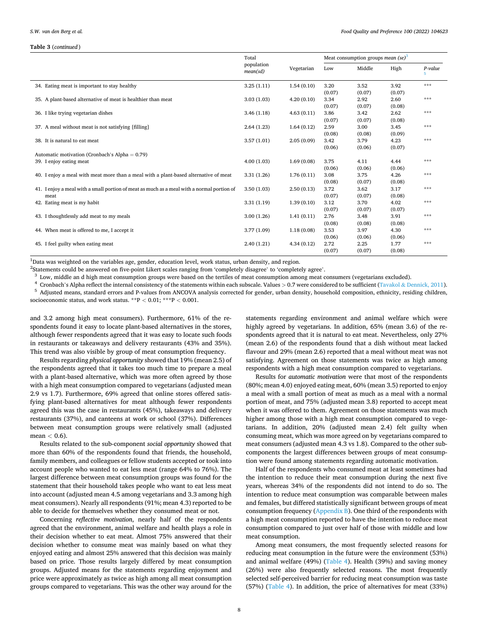#### <span id="page-7-0"></span>**Table 3** (*continued* )

|                                                                                            | Total                  |            | Meat consumption groups <i>mean</i> (se) <sup>3</sup> |        |        |         |
|--------------------------------------------------------------------------------------------|------------------------|------------|-------------------------------------------------------|--------|--------|---------|
|                                                                                            | population<br>mean(sd) | Vegetarian | Low                                                   | Middle | High   | P-value |
| 34. Eating meat is important to stay healthy                                               | 3.25(1.11)             | 1.54(0.10) | 3.20                                                  | 3.52   | 3.92   | ***     |
|                                                                                            |                        |            | (0.07)                                                | (0.07) | (0.07) |         |
| 35. A plant-based alternative of meat is healthier than meat                               | 3.03(1.03)             | 4.20(0.10) | 3.34                                                  | 2.92   | 2.60   | ***     |
|                                                                                            |                        |            | (0.07)                                                | (0.07) | (0.08) |         |
| 36. I like trying vegetarian dishes                                                        | 3.46(1.18)             | 4.63(0.11) | 3.86                                                  | 3.42   | 2.62   | ***     |
|                                                                                            |                        |            | (0.07)                                                | (0.07) | (0.08) |         |
| 37. A meal without meat is not satisfying [filling]                                        | 2.64(1.23)             | 1.64(0.12) | 2.59                                                  | 3.00   | 3.45   | ***     |
|                                                                                            |                        |            | (0.08)                                                | (0.08) | (0.09) |         |
| 38. It is natural to eat meat                                                              | 3.57(1.01)             | 2.05(0.09) | 3.42                                                  | 3.79   | 4.23   | ***     |
|                                                                                            |                        |            | (0.06)                                                | (0.06) | (0.07) |         |
| Automatic motivation (Cronbach's Alpha = $0.79$ )                                          |                        |            |                                                       |        |        |         |
| 39. I enjoy eating meat                                                                    | 4.00(1.03)             | 1.69(0.08) | 3.75                                                  | 4.11   | 4.44   | ***     |
|                                                                                            |                        |            | (0.06)                                                | (0.06) | (0.06) |         |
| 40. I enjoy a meal with meat more than a meal with a plant-based alternative of meat       | 3.31(1.26)             | 1.76(0.11) | 3.08                                                  | 3.75   | 4.26   | ***     |
|                                                                                            |                        |            | (0.08)                                                | (0.07) | (0.08) |         |
| 41. I enjoy a meal with a small portion of meat as much as a meal with a normal portion of | 3.50(1.03)             | 2.50(0.13) | 3.72                                                  | 3.62   | 3.17   | ***     |
| meat                                                                                       |                        |            | (0.07)                                                | (0.07) | (0.08) |         |
| 42. Eating meat is my habit                                                                | 3.31(1.19)             | 1.39(0.10) | 3.12                                                  | 3.70   | 4.02   | ***     |
|                                                                                            |                        |            | (0.07)                                                | (0.07) | (0.07) |         |
| 43. I thoughtlessly add meat to my meals                                                   | 3.00(1.26)             | 1.41(0.11) | 2.76                                                  | 3.48   | 3.91   | ***     |
|                                                                                            |                        |            | (0.08)                                                | (0.08) | (0.08) |         |
| 44. When meat is offered to me, I accept it                                                | 3.77(1.09)             | 1.18(0.08) | 3.53                                                  | 3.97   | 4.30   | ***     |
|                                                                                            |                        |            | (0.06)                                                | (0.06) | (0.06) |         |
| 45. I feel guilty when eating meat                                                         | 2.40(1.21)             | 4.34(0.12) | 2.72                                                  | 2.25   | 1.77   | ***     |
|                                                                                            |                        |            | (0.07)                                                | (0.07) | (0.08) |         |

<sup>1</sup>Data was weighted on the variables age, gender, education level, work status, urban density, and region.<br><sup>2</sup>Statements could be answered on five-point Likert scales ranging from 'completely disagree' to 'complete

 $^{2}$ Statements could be answered on five-point Likert scales ranging from 'completely disagree' to 'completely agree'.<br><sup>3</sup> Low, middle an d high meat consumption groups were based on the tertiles of meat consumption amon socioeconomic status, and work status. \*\*P *<* 0.01; \*\*\*P *<* 0.001.

and 3.2 among high meat consumers). Furthermore, 61% of the respondents found it easy to locate plant-based alternatives in the stores, although fewer respondents agreed that it was easy to locate such foods in restaurants or takeaways and delivery restaurants (43% and 35%). This trend was also visible by group of meat consumption frequency.

Results regarding *physical opportunity* showed that 19% (mean 2.5) of the respondents agreed that it takes too much time to prepare a meal with a plant-based alternative, which was more often agreed by those with a high meat consumption compared to vegetarians (adjusted mean 2.9 vs 1.7). Furthermore, 69% agreed that online stores offered satisfying plant-based alternatives for meat although fewer respondents agreed this was the case in restaurants (45%), takeaways and delivery restaurants (37%), and canteens at work or school (37%). Differences between meat consumption groups were relatively small (adjusted mean *<* 0.6).

Results related to the sub-component *social opportunity* showed that more than 60% of the respondents found that friends, the household, family members, and colleagues or fellow students accepted or took into account people who wanted to eat less meat (range 64% to 76%). The largest difference between meat consumption groups was found for the statement that their household takes people who want to eat less meat into account (adjusted mean 4.5 among vegetarians and 3.3 among high meat consumers). Nearly all respondents (91%; mean 4.3) reported to be able to decide for themselves whether they consumed meat or not.

Concerning *reflective motivation*, nearly half of the respondents agreed that the environment, animal welfare and health plays a role in their decision whether to eat meat. Almost 75% answered that their decision whether to consume meat was mainly based on what they enjoyed eating and almost 25% answered that this decision was mainly based on price. Those results largely differed by meat consumption groups. Adjusted means for the statements regarding enjoyment and price were approximately as twice as high among all meat consumption groups compared to vegetarians. This was the other way around for the

statements regarding environment and animal welfare which were highly agreed by vegetarians. In addition, 65% (mean 3.6) of the respondents agreed that it is natural to eat meat. Nevertheless, only 27% (mean 2.6) of the respondents found that a dish without meat lacked flavour and 29% (mean 2.6) reported that a meal without meat was not satisfying. Agreement on those statements was twice as high among respondents with a high meat consumption compared to vegetarians.

Results for *automatic motivation* were that most of the respondents (80%; mean 4.0) enjoyed eating meat, 60% (mean 3.5) reported to enjoy a meal with a small portion of meat as much as a meal with a normal portion of meat, and 75% (adjusted mean 3.8) reported to accept meat when it was offered to them. Agreement on those statements was much higher among those with a high meat consumption compared to vegetarians. In addition, 20% (adjusted mean 2.4) felt guilty when consuming meat, which was more agreed on by vegetarians compared to meat consumers (adjusted mean 4.3 vs 1.8). Compared to the other subcomponents the largest differences between groups of meat consumption were found among statements regarding automatic motivation.

Half of the respondents who consumed meat at least sometimes had the intention to reduce their meat consumption during the next five years, whereas 34% of the respondents did not intend to do so. The intention to reduce meat consumption was comparable between males and females, but differed statistically significant between groups of meat consumption frequency (Appendix B). One third of the respondents with a high meat consumption reported to have the intention to reduce meat consumption compared to just over half of those with middle and low meat consumption.

Among meat consumers, the most frequently selected reasons for reducing meat consumption in the future were the environment (53%) and animal welfare (49%) [\(Table 4](#page-8-0)). Health (39%) and saving money (26%) were also frequently selected reasons. The most frequently selected self-perceived barrier for reducing meat consumption was taste (57%) [\(Table 4](#page-8-0)). In addition, the price of alternatives for meat (33%)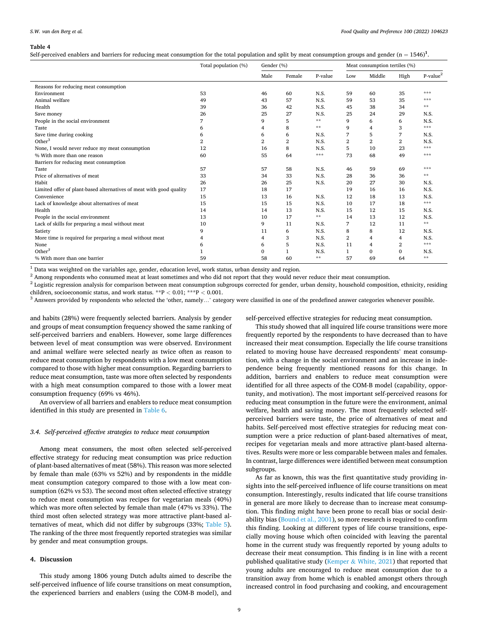<span id="page-8-0"></span>Self-perceived enablers and barriers for reducing meat consumption for the total population and split by meat consumption groups and gender  $(n = 1546)^1$ .

|                                                                     | Total population (%) | Gender (%)     |        |         | Meat consumption tertiles (%) |                |                |            |  |
|---------------------------------------------------------------------|----------------------|----------------|--------|---------|-------------------------------|----------------|----------------|------------|--|
|                                                                     |                      | Male           | Female | P-value | Low                           | Middle         | High           | $P-value2$ |  |
| Reasons for reducing meat consumption                               |                      |                |        |         |                               |                |                |            |  |
| Environment                                                         | 53                   | 46             | 60     | N.S.    | 59                            | 60             | 35             | ***        |  |
| Animal welfare                                                      | 49                   | 43             | 57     | N.S.    | 59                            | 53             | 35             | ***        |  |
| Health                                                              | 39                   | 36             | 42     | N.S.    | 45                            | 38             | 34             | **         |  |
| Save money                                                          | 26                   | 25             | 27     | N.S.    | 25                            | 24             | 29             | N.S.       |  |
| People in the social environment                                    | 7                    | 9              | 5      | $**$    | 9                             | 6              | 6              | N.S.       |  |
| Taste                                                               | 6                    | 4              | 8      | $**$    | 9                             | 4              | 3              | ***        |  |
| Save time during cooking                                            | 6                    | 6              | 6      | N.S.    | 7                             | 5              | 7              | N.S.       |  |
| Other $3$                                                           | 2                    | $\overline{2}$ | 2      | N.S.    | $\overline{2}$                | $\overline{2}$ | $\overline{2}$ | N.S.       |  |
| None, I would never reduce my meat consumption                      | 12                   | 16             | 8      | N.S.    | 5                             | 10             | 23             | ***        |  |
| % With more than one reason                                         | 60                   | 55             | 64     | ***     | 73                            | 68             | 49             | ***        |  |
| Barriers for reducing meat consumption                              |                      |                |        |         |                               |                |                |            |  |
| Taste                                                               | 57                   | 57             | 58     | N.S.    | 46                            | 59             | 69             | ***        |  |
| Price of alternatives of meat                                       | 33                   | 34             | 33     | N.S.    | 28                            | 36             | 36             | **         |  |
| Habit                                                               | 26                   | 26             | 25     | N.S.    | 20                            | 27             | 30             | N.S.       |  |
| Limited offer of plant-based alternatives of meat with good quality | 17                   | 18             | 17     |         | 19                            | 16             | 16             | N.S.       |  |
| Convenience                                                         | 15                   | 13             | 16     | N.S.    | 12                            | 18             | 13             | N.S.       |  |
| Lack of knowledge about alternatives of meat                        | 15                   | 15             | 15     | N.S.    | 10                            | 17             | 18             | ***        |  |
| Health                                                              | 14                   | 14             | 13     | N.S.    | 15                            | 12             | 15             | N.S.       |  |
| People in the social environment                                    | 13                   | 10             | 17     | $* *$   | 14                            | 13             | 12             | N.S.       |  |
| Lack of skills for preparing a meal without meat                    | 10                   | 9              | 11     | N.S.    | 7                             | 12             | 11             | **         |  |
| Satiety                                                             | 9                    | 11             | 6      | N.S.    | 8                             | 8              | 12             | N.S.       |  |
| More time is required for preparing a meal without meat             | 4                    | 4              | 3      | N.S.    | $\overline{2}$                | $\overline{4}$ | $\overline{4}$ | N.S.       |  |
| None                                                                | 6                    | 6              | 5      | N.S.    | 11                            | 4              | $\overline{2}$ | ***        |  |
| Other $3$                                                           |                      | $\Omega$       | 1      | N.S.    | 1                             | $\Omega$       | $\mathbf{0}$   | N.S.       |  |
| % With more than one barrier                                        | 59                   | 58             | 60     | **      | 57                            | 69             | 64             | **         |  |

 $\frac{1}{2}$  Data was weighted on the variables age, gender, education level, work status, urban density and region.<br>
<sup>2</sup> Among respondents who consumed meat at least sometimes and who did not report that they would never re children, socioeconomic status, and work status. \*\*P < 0.01; \*\*\*P < 0.001.<br><sup>3</sup> Answers provided by respondents who selected the 'other, namely...' category were classified in one of the predefined answer categories whenev

and habits (28%) were frequently selected barriers. Analysis by gender and groups of meat consumption frequency showed the same ranking of self-perceived barriers and enablers. However, some large differences between level of meat consumption was were observed. Environment and animal welfare were selected nearly as twice often as reason to reduce meat consumption by respondents with a low meat consumption compared to those with higher meat consumption. Regarding barriers to reduce meat consumption, taste was more often selected by respondents with a high meat consumption compared to those with a lower meat consumption frequency (69% vs 46%).

An overview of all barriers and enablers to reduce meat consumption identified in this study are presented in [Table 6.](#page-10-0)

# *3.4. Self-perceived effective strategies to reduce meat consumption*

Among meat consumers, the most often selected self-perceived effective strategy for reducing meat consumption was price reduction of plant-based alternatives of meat (58%). This reason was more selected by female than male (63% vs 52%) and by respondents in the middle meat consumption category compared to those with a low meat consumption (62% vs 53). The second most often selected effective strategy to reduce meat consumption was recipes for vegetarian meals (40%) which was more often selected by female than male (47% vs 33%). The third most often selected strategy was more attractive plant-based alternatives of meat, which did not differ by subgroups (33%; [Table 5](#page-9-0)). The ranking of the three most frequently reported strategies was similar by gender and meat consumption groups.

# **4. Discussion**

This study among 1806 young Dutch adults aimed to describe the self-perceived influence of life course transitions on meat consumption, the experienced barriers and enablers (using the COM-B model), and self-perceived effective strategies for reducing meat consumption.

This study showed that all inquired life course transitions were more frequently reported by the respondents to have decreased than to have increased their meat consumption. Especially the life course transitions related to moving house have decreased respondents' meat consumption, with a change in the social environment and an increase in independence being frequently mentioned reasons for this change. In addition, barriers and enablers to reduce meat consumption were identified for all three aspects of the COM-B model (capability, opportunity, and motivation). The most important self-perceived reasons for reducing meat consumption in the future were the environment, animal welfare, health and saving money. The most frequently selected selfperceived barriers were taste, the price of alternatives of meat and habits. Self-perceived most effective strategies for reducing meat consumption were a price reduction of plant-based alternatives of meat, recipes for vegetarian meals and more attractive plant-based alternatives. Results were more or less comparable between males and females. In contrast, large differences were identified between meat consumption subgroups.

As far as known, this was the first quantitative study providing insights into the self-perceived influence of life course transitions on meat consumption. Interestingly, results indicated that life course transitions in general are more likely to decrease than to increase meat consumption. This finding might have been prone to recall bias or social desirability bias [\(Bound et al., 2001\)](#page-12-0), so more research is required to confirm this finding. Looking at different types of life course transitions, especially moving house which often coincided with leaving the parental home in the current study was frequently reported by young adults to decrease their meat consumption. This finding is in line with a recent published qualitative study (Kemper & [White, 2021\)](#page-12-0) that reported that young adults are encouraged to reduce meat consumption due to a transition away from home which is enabled amongst others through increased control in food purchasing and cooking, and encouragement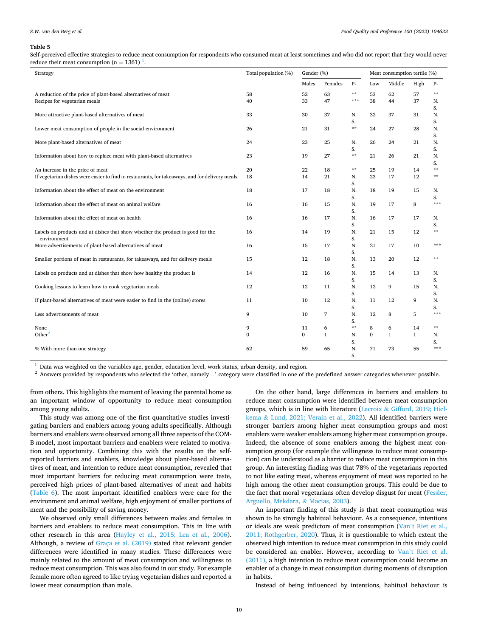#### <span id="page-9-0"></span>*S.W. van den Berg et al.*

#### **Table 5**

Self-perceived effective strategies to reduce meat consumption for respondents who consumed meat at least sometimes and who did not report that they would never reduce their meat consumption ( $n = 1361$ )<sup>1</sup>.

| Strategy                                                                                       | Total population (%) | Gender (%)   |              | Meat consumption tertile (%) |              |              |              |                 |
|------------------------------------------------------------------------------------------------|----------------------|--------------|--------------|------------------------------|--------------|--------------|--------------|-----------------|
|                                                                                                |                      | Males        | Females      | $P-$                         | Low          | Middle       | High         | р.              |
| A reduction of the price of plant-based alternatives of meat                                   | 58                   | 52           | 63           | $\star\star$                 | 53           | 62           | 57           | $\star$ $\star$ |
| Recipes for vegetarian meals                                                                   | 40                   | 33           | 47           | ***                          | 38           | 44           | 37           | N.              |
|                                                                                                |                      |              |              |                              |              |              |              | S.              |
| More attractive plant-based alternatives of meat                                               | 33                   | 30           | 37           | N.<br>S.                     | 32           | 37           | 31           | N.              |
| Lower meat consumption of people in the social environment                                     | 26                   | 21           | 31           | $**$                         | 24           | 27           | 28           | S.<br>N.        |
|                                                                                                |                      |              |              |                              |              |              |              | S.              |
| More plant-based alternatives of meat                                                          | 24                   | 23           | 25           | N.                           | 26           | 24           | 21           | N.              |
|                                                                                                |                      |              |              | S.                           |              |              |              | S.              |
| Information about how to replace meat with plant-based alternatives                            | 23                   | 19           | 27           | $**$                         | 21           | 26           | 21           | N.              |
|                                                                                                |                      |              |              |                              |              |              |              | S.              |
| An increase in the price of meat                                                               | 20                   | 22           | 18           | $* *$                        | 25           | 19           | 14           | $* *$           |
| If vegetarian dishes were easier to find in restaurants, for takeaways, and for delivery meals | 18                   | 14           | 21           | N.                           | 23           | 17           | 12           | $* *$           |
| Information about the effect of meat on the environment                                        | 18                   | 17           | 18           | S.<br>N.                     | 18           | 19           | 15           | N.              |
|                                                                                                |                      |              |              | S.                           |              |              |              | S.              |
| Information about the effect of meat on animal welfare                                         | 16                   | 16           | 15           | N.                           | 19           | 17           | 8            | $* * *$         |
|                                                                                                |                      |              |              | S.                           |              |              |              |                 |
| Information about the effect of meat on health                                                 | 16                   | 16           | 17           | N.                           | 16           | 17           | 17           | N.              |
|                                                                                                |                      |              |              | S.                           |              |              |              | S.              |
| Labels on products and at dishes that show whether the product is good for the                 | 16                   | 14           | 19           | N.                           | 21           | 15           | 12           | $\star$ $\star$ |
| environment                                                                                    |                      |              |              | S.                           |              |              |              |                 |
| More advertisements of plant-based alternatives of meat                                        | 16                   | 15           | 17           | N.                           | 21           | 17           | 10           | ***             |
| Smaller portions of meat in restaurants, for takeaways, and for delivery meals                 | 15                   | 12           | 18           | S.<br>N.                     | 13           | 20           | 12           | $* *$           |
|                                                                                                |                      |              |              | S.                           |              |              |              |                 |
| Labels on products and at dishes that show how healthy the product is                          | 14                   | 12           | 16           | N.                           | 15           | 14           | 13           | N.              |
|                                                                                                |                      |              |              | S.                           |              |              |              | S.              |
| Cooking lessons to learn how to cook vegetarian meals                                          | 12                   | 12           | 11           | N.                           | 12           | 9            | 15           | N.              |
|                                                                                                |                      |              |              | S.                           |              |              |              | S.              |
| If plant-based alternatives of meat were easier to find in the (online) stores                 | 11                   | 10           | 12           | N.                           | 11           | 12           | 9            | N.              |
|                                                                                                |                      |              |              | S.                           |              |              |              | S.<br>$* * *$   |
| Less advertisements of meat                                                                    | 9                    | 10           | 7            | N.<br>S.                     | 12           | 8            | 5            |                 |
| None                                                                                           | 9                    | 11           | 6            | $**$                         | 8            | 6            | 14           | $\star$ $\star$ |
| Other $2$                                                                                      | $\mathbf{0}$         | $\mathbf{0}$ | $\mathbf{1}$ | N.                           | $\mathbf{0}$ | $\mathbf{1}$ | $\mathbf{1}$ | N.              |
|                                                                                                |                      |              |              | S.                           |              |              |              | S.              |
| % With more than one strategy                                                                  | 62                   | 59           | 65           | N.                           | 71           | 73           | 55           | ***             |
|                                                                                                |                      |              |              | S.                           |              |              |              |                 |

 $^1$  Data was weighted on the variables age, gender, education level, work status, urban density, and region.  $^2$  Answers provided by respondents who selected the 'other, namely...' category were classified in one of the

from others. This highlights the moment of leaving the parental home as an important window of opportunity to reduce meat consumption among young adults.

This study was among one of the first quantitative studies investigating barriers and enablers among young adults specifically. Although barriers and enablers were observed among all three aspects of the COM-B model, most important barriers and enablers were related to motivation and opportunity. Combining this with the results on the selfreported barriers and enablers, knowledge about plant-based alternatives of meat, and intention to reduce meat consumption, revealed that most important barriers for reducing meat consumption were taste, perceived high prices of plant-based alternatives of meat and habits ([Table 6](#page-10-0)). The most important identified enablers were care for the environment and animal welfare, high enjoyment of smaller portions of meat and the possibility of saving money.

We observed only small differences between males and females in barriers and enablers to reduce meat consumption. This in line with other research in this area [\(Hayley et al., 2015; Lea et al., 2006](#page-12-0)). Although, a review of [Graça et al. \(2019\)](#page-12-0) stated that relevant gender differences were identified in many studies. These differences were mainly related to the amount of meat consumption and willingness to reduce meat consumption. This was also found in our study. For example female more often agreed to like trying vegetarian dishes and reported a lower meat consumption than male.

On the other hand, large differences in barriers and enablers to reduce meat consumption were identified between meat consumption groups, which is in line with literature (Lacroix & [Gifford, 2019; Hiel](#page-12-0)kema & [Lund, 2021; Verain et al., 2022\)](#page-12-0). All identified barriers were stronger barriers among higher meat consumption groups and most enablers were weaker enablers among higher meat consumption groups. Indeed, the absence of some enablers among the highest meat consumption group (for example the willingness to reduce meat consumption) can be understood as a barrier to reduce meat consumption in this group. An interesting finding was that 78% of the vegetarians reported to not like eating meat, whereas enjoyment of meat was reported to be high among the other meat consumption groups. This could be due to the fact that moral vegetarians often develop disgust for meat [\(Fessler,](#page-12-0)  [Arguello, Mekdara,](#page-12-0) & Macias, 2003).

An important finding of this study is that meat consumption was shown to be strongly habitual behaviour. As a consequence, intentions or ideals are weak predictors of meat consumption (Van'[t Riet et al.,](#page-13-0)  [2011; Rothgerber, 2020](#page-13-0)). Thus, it is questionable to which extent the observed high intention to reduce meat consumption in this study could be considered an enabler. However, according to Van'[t Riet et al.](#page-13-0)  [\(2011\),](#page-13-0) a high intention to reduce meat consumption could become an enabler of a change in meat consumption during moments of disruption in habits.

Instead of being influenced by intentions, habitual behaviour is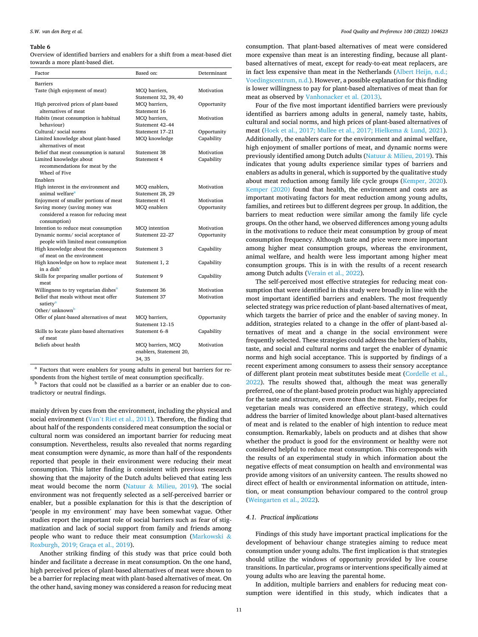<span id="page-10-0"></span>Overview of identified barriers and enablers for a shift from a meat-based diet towards a more plant-based diet.

| Factor                                                                      | Based on:                                              | Determinant |
|-----------------------------------------------------------------------------|--------------------------------------------------------|-------------|
| <b>Barriers</b>                                                             |                                                        |             |
| Taste (high enjoyment of meat)                                              | MCQ barriers,                                          | Motivation  |
|                                                                             | Statement 32, 39, 40                                   |             |
| High perceived prices of plant-based                                        | MCO barriers,                                          | Opportunity |
| alternatives of meat                                                        | Statement 16                                           |             |
| Habits (meat consumption is habitual                                        | MCQ barriers,                                          | Motivation  |
| behaviour)                                                                  | Statement 42-44                                        |             |
| Cultural/social norms                                                       | Statement 17-21                                        | Opportunity |
| Limited knowledge about plant-based<br>alternatives of meat                 | MCQ knowledge                                          | Capability  |
| Belief that meat consumption is natural                                     | Statement 38                                           | Motivation  |
| Limited knowledge about                                                     | Statement 4                                            | Capability  |
| recommendations for meat by the<br>Wheel of Five                            |                                                        |             |
| Enablers                                                                    |                                                        |             |
| High interest in the environment and                                        | MCQ enablers,                                          | Motivation  |
| animal welfare <sup>a</sup>                                                 | Statement 28, 29                                       |             |
| Enjoyment of smaller portions of meat                                       | Statement 41                                           | Motivation  |
| Saving money (saving money was                                              | MCQ enablers                                           | Opportunity |
| considered a reason for reducing meat<br>consumption)                       |                                                        |             |
| Intention to reduce meat consumption                                        | MCQ intention                                          | Motivation  |
| Dynamic norms/ social acceptance of<br>people with limited meat consumption | Statement 22-27                                        | Opportunity |
| High knowledge about the consequences<br>of meat on the environment         | Statement 3                                            | Capability  |
| High knowledge on how to replace meat<br>in a dish <sup>a</sup>             | Statement 1, 2                                         | Capability  |
| Skills for preparing smaller portions of                                    | Statement 9                                            | Capability  |
| meat                                                                        |                                                        |             |
| Willingness to try vegetarian dishes <sup>a</sup>                           | Statement 36                                           | Motivation  |
| Belief that meals without meat offer<br>satiety <sup>a</sup>                | Statement 37                                           | Motivation  |
| Other/unknown <sup>b</sup>                                                  |                                                        |             |
| Offer of plant-based alternatives of meat                                   | MCQ barriers,<br>Statement 12-15                       | Opportunity |
| Skills to locate plant-based alternatives                                   | Statement 6-8                                          | Capability  |
| of meat                                                                     |                                                        |             |
| Beliefs about health                                                        | MCQ barriers, MCQ<br>enablers, Statement 20,<br>34, 35 | Motivation  |

<sup>a</sup> Factors that were enablers for young adults in general but barriers for re-

spondents from the highest tertile of meat consumption specifically.  $^{\rm b}$  Factors that could not be classified as a barrier or an enabler due to contradictory or neutral findings.

mainly driven by cues from the environment, including the physical and social environment (Van'[t Riet et al., 2011\)](#page-13-0). Therefore, the finding that about half of the respondents considered meat consumption the social or cultural norm was considered an important barrier for reducing meat consumption. Nevertheless, results also revealed that norms regarding meat consumption were dynamic, as more than half of the respondents reported that people in their environment were reducing their meat consumption. This latter finding is consistent with previous research showing that the majority of the Dutch adults believed that eating less meat would become the norm (Natuur & [Milieu, 2019](#page-12-0)). The social environment was not frequently selected as a self-perceived barrier or enabler, but a possible explanation for this is that the description of 'people in my environment' may have been somewhat vague. Other studies report the important role of social barriers such as fear of stigmatization and lack of social support from family and friends among people who want to reduce their meat consumption ([Markowski](#page-12-0) & [Roxburgh, 2019; Graça et al., 2019](#page-12-0)).

Another striking finding of this study was that price could both hinder and facilitate a decrease in meat consumption. On the one hand, high perceived prices of plant-based alternatives of meat were shown to be a barrier for replacing meat with plant-based alternatives of meat. On the other hand, saving money was considered a reason for reducing meat

consumption. That plant-based alternatives of meat were considered more expensive than meat is an interesting finding, because all plantbased alternatives of meat, except for ready-to-eat meat replacers, are in fact less expensive than meat in the Netherlands ([Albert Heijn, n.d.;](#page-12-0)  [Voedingscentrum, n.d.\)](#page-12-0). However, a possible explanation for this finding is lower willingness to pay for plant-based alternatives of meat than for meat as observed by [Vanhonacker et al. \(2013\).](#page-13-0)

Four of the five most important identified barriers were previously identified as barriers among adults in general, namely taste, habits, cultural and social norms, and high prices of plant-based alternatives of meat ([Hoek et al., 2017; Mullee et al., 2017; Hielkema](#page-12-0) & Lund, 2021). Additionally, the enablers care for the environment and animal welfare, high enjoyment of smaller portions of meat, and dynamic norms were previously identified among Dutch adults (Natuur  $\&$  [Milieu, 2019\)](#page-12-0). This indicates that young adults experience similar types of barriers and enablers as adults in general, which is supported by the qualitative study about meat reduction among family life cycle groups [\(Kemper, 2020](#page-12-0)). [Kemper \(2020\)](#page-12-0) found that health, the environment and costs are as important motivating factors for meat reduction among young adults, families, and retirees but to different degrees per group. In addition, the barriers to meat reduction were similar among the family life cycle groups. On the other hand, we observed differences among young adults in the motivations to reduce their meat consumption by group of meat consumption frequency. Although taste and price were more important among higher meat consumption groups, whereas the environment, animal welfare, and health were less important among higher meat consumption groups. This is in with the results of a recent research among Dutch adults [\(Verain et al., 2022\)](#page-13-0).

The self-perceived most effective strategies for reducing meat consumption that were identified in this study were broadly in line with the most important identified barriers and enablers. The most frequently selected strategy was price reduction of plant-based alternatives of meat, which targets the barrier of price and the enabler of saving money. In addition, strategies related to a change in the offer of plant-based alternatives of meat and a change in the social environment were frequently selected. These strategies could address the barriers of habits, taste, and social and cultural norms and target the enabler of dynamic norms and high social acceptance. This is supported by findings of a recent experiment among consumers to assess their sensory acceptance of different plant protein meat substitutes beside meat ([Cordelle et al.,](#page-12-0)  [2022\)](#page-12-0). The results showed that, although the meat was generally preferred, one of the plant-based protein product was highly appreciated for the taste and structure, even more than the meat. Finally, recipes for vegetarian meals was considered an effective strategy, which could address the barrier of limited knowledge about plant-based alternatives of meat and is related to the enabler of high intention to reduce meat consumption. Remarkably, labels on products and at dishes that show whether the product is good for the environment or healthy were not considered helpful to reduce meat consumption. This corresponds with the results of an experimental study in which information about the negative effects of meat consumption on health and environmental was provide among visitors of an university canteen. The results showed no direct effect of health or environmental information on attitude, intention, or meat consumption behaviour compared to the control group ([Weingarten et al., 2022\)](#page-13-0).

#### *4.1. Practical implications*

Findings of this study have important practical implications for the development of behaviour change strategies aiming to reduce meat consumption under young adults. The first implication is that strategies should utilize the windows of opportunity provided by live course transitions. In particular, programs or interventions specifically aimed at young adults who are leaving the parental home.

In addition, multiple barriers and enablers for reducing meat consumption were identified in this study, which indicates that a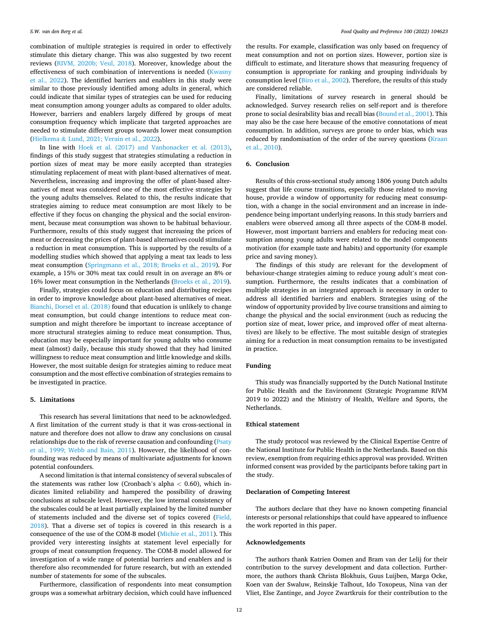combination of multiple strategies is required in order to effectively stimulate this dietary change. This was also suggested by two recent reviews ([RIVM, 2020b; Veul, 2018](#page-12-0)). Moreover, knowledge about the effectiveness of such combination of interventions is needed [\(Kwasny](#page-12-0)  [et al., 2022\)](#page-12-0). The identified barriers and enablers in this study were similar to those previously identified among adults in general, which could indicate that similar types of strategies can be used for reducing meat consumption among younger adults as compared to older adults. However, barriers and enablers largely differed by groups of meat consumption frequency which implicate that targeted approaches are needed to stimulate different groups towards lower meat consumption (Hielkema & [Lund, 2021; Verain et al., 2022](#page-12-0)).

In line with [Hoek et al. \(2017\) and Vanhonacker et al. \(2013\)](#page-12-0), findings of this study suggest that strategies stimulating a reduction in portion sizes of meat may be more easily accepted than strategies stimulating replacement of meat with plant-based alternatives of meat. Nevertheless, increasing and improving the offer of plant-based alternatives of meat was considered one of the most effective strategies by the young adults themselves. Related to this, the results indicate that strategies aiming to reduce meat consumption are most likely to be effective if they focus on changing the physical and the social environment, because meat consumption was shown to be habitual behaviour. Furthermore, results of this study suggest that increasing the prices of meat or decreasing the prices of plant-based alternatives could stimulate a reduction in meat consumption. This is supported by the results of a modelling studies which showed that applying a meat tax leads to less meat consumption [\(Springmann et al., 2018; Broeks et al., 2019\)](#page-12-0). For example, a 15% or 30% meat tax could result in on average an 8% or 16% lower meat consumption in the Netherlands ([Broeks et al., 2019\)](#page-12-0).

Finally, strategies could focus on education and distributing recipes in order to improve knowledge about plant-based alternatives of meat. [Bianchi, Dorsel et al. \(2018\)](#page-12-0) found that education is unlikely to change meat consumption, but could change intentions to reduce meat consumption and might therefore be important to increase acceptance of more structural strategies aiming to reduce meat consumption. Thus, education may be especially important for young adults who consume meat (almost) daily, because this study showed that they had limited willingness to reduce meat consumption and little knowledge and skills. However, the most suitable design for strategies aiming to reduce meat consumption and the most effective combination of strategies remains to be investigated in practice.

# **5. Limitations**

This research has several limitations that need to be acknowledged. A first limitation of the current study is that it was cross-sectional in nature and therefore does not allow to draw any conclusions on causal relationships due to the risk of reverse causation and confounding ([Psaty](#page-12-0)  [et al., 1999; Webb and Bain, 2011](#page-12-0)). However, the likelihood of confounding was reduced by means of multivariate adjustments for known potential confounders.

A second limitation is that internal consistency of several subscales of the statements was rather low (Cronbach's alpha *<* 0.60), which indicates limited reliability and hampered the possibility of drawing conclusions at subscale level. However, the low internal consistency of the subscales could be at least partially explained by the limited number of statements included and the diverse set of topics covered ([Field,](#page-12-0)  [2018\)](#page-12-0). That a diverse set of topics is covered in this research is a consequence of the use of the COM-B model [\(Michie et al., 2011](#page-12-0)). This provided very interesting insights at statement level especially for groups of meat consumption frequency. The COM-B model allowed for investigation of a wide range of potential barriers and enablers and is therefore also recommended for future research, but with an extended number of statements for some of the subscales.

Furthermore, classification of respondents into meat consumption groups was a somewhat arbitrary decision, which could have influenced

the results. For example, classification was only based on frequency of meat consumption and not on portion sizes. However, portion size is difficult to estimate, and literature shows that measuring frequency of consumption is appropriate for ranking and grouping individuals by consumption level ([Biro et al., 2002](#page-12-0)). Therefore, the results of this study are considered reliable.

Finally, limitations of survey research in general should be acknowledged. Survey research relies on self-report and is therefore prone to social desirability bias and recall bias [\(Bound et al., 2001\)](#page-12-0). This may also be the case here because of the emotive connotations of meat consumption. In addition, surveys are prone to order bias, which was reduced by randomisation of the order of the survey questions (Kraan [et al., 2010\)](#page-12-0).

# **6. Conclusion**

Results of this cross-sectional study among 1806 young Dutch adults suggest that life course transitions, especially those related to moving house, provide a window of opportunity for reducing meat consumption, with a change in the social environment and an increase in independence being important underlying reasons. In this study barriers and enablers were observed among all three aspects of the COM-B model. However, most important barriers and enablers for reducing meat consumption among young adults were related to the model components motivation (for example taste and habits) and opportunity (for example price and saving money).

The findings of this study are relevant for the development of behaviour-change strategies aiming to reduce young adult's meat consumption. Furthermore, the results indicates that a combination of multiple strategies in an integrated approach is necessary in order to address all identified barriers and enablers. Strategies using of the window of opportunity provided by live course transitions and aiming to change the physical and the social environment (such as reducing the portion size of meat, lower price, and improved offer of meat alternatives) are likely to be effective. The most suitable design of strategies aiming for a reduction in meat consumption remains to be investigated in practice.

# **Funding**

This study was financially supported by the Dutch National Institute for Public Health and the Environment (Strategic Programme RIVM 2019 to 2022) and the Ministry of Health, Welfare and Sports, the Netherlands.

## **Ethical statement**

The study protocol was reviewed by the Clinical Expertise Centre of the National Institute for Public Health in the Netherlands. Based on this review, exemption from requiring ethics approval was provided. Written informed consent was provided by the participants before taking part in the study.

# **Declaration of Competing Interest**

The authors declare that they have no known competing financial interests or personal relationships that could have appeared to influence the work reported in this paper.

#### **Acknowledgements**

The authors thank Katrien Oomen and Bram van der Lelij for their contribution to the survey development and data collection. Furthermore, the authors thank Christa Blokhuis, Guus Luijben, Marga Ocke, Koen van der Swaluw, Reinskje Talhout, Ido Toxopeus, Nina van der Vliet, Else Zantinge, and Joyce Zwartkruis for their contribution to the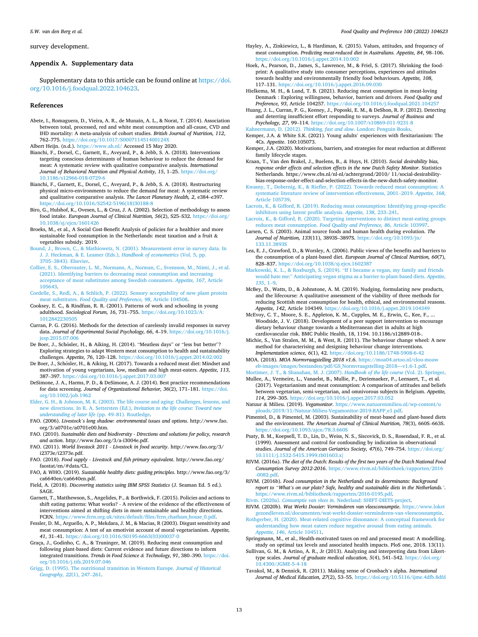<span id="page-12-0"></span>survey development.

# **Appendix A. Supplementary data**

Supplementary data to this article can be found online at [https://doi.](https://doi.org/10.1016/j.foodqual.2022.104623)  [org/10.1016/j.foodqual.2022.104623](https://doi.org/10.1016/j.foodqual.2022.104623).

#### **References**

Abete, I., Romaguera, D., Vieira, A. R., de Munain, A. L., & Norat, T. (2014). Association between total, processed, red and white meat consumption and all-cause, CVD and IHD mortality: A meta-analysis of cohort studies. *British Journal of Nutrition, 112*, 762–775. <https://doi.org/10.1017/S000711451400124X>

Albert Heijn. (n.d.). <https://www.ah.nl/> Accessed 15 May 2020.

- Bianchi, F., Dorsel, C., Garnett, E., Aveyard, P., & Jebb, S. A. (2018). Interventions targeting conscious determinants of human behaviour to reduce the demand for meat: A systematic review with qualitative comparative analysis. *International Journal of Behavioral Nutrition and Physical Activity, 15*, 1–25. [https://doi.org/](https://doi.org/10.1186/s12966-018-0729-6) [10.1186/s12966-018-0729-6](https://doi.org/10.1186/s12966-018-0729-6)
- Bianchi, F., Garnett, E., Dorsel, C., Aveyard, P., & Jebb, S. A. (2018). Restructuring physical micro-environments to reduce the demand for meat: A systematic review and qualitative comparative analysis. *The Lancet Planetary Health, 2*, e384–e397. /doi.org/10.1016/S2542-5196(18)30188-8
- Biro, G., Hulshof, K., Ovesen, L., & Cruz, J. A. (2002). Selection of methodology to assess food intake. *European Journal of Clinical Nutrition, 56*(2), S25–S32. [https://doi.org/](https://doi.org/10.1038/sj/ejcn/1601426) [10.1038/sj/ejcn/1601426](https://doi.org/10.1038/sj/ejcn/1601426)
- Broeks, M., et al., A Social Cost-Benefit Analysis of policies for a healthier and more sustainable food consumption in the Netherlands: meat taxation and a fruit  $\&$ vegetables subsidy. 2019.
- [Bound, J., Brown, C., & Mathiowetz, N. \(2001\). Measurement error in survey data. In](http://refhub.elsevier.com/S0950-3293(22)00098-2/h0035) [J. J. Heckman, & E. Leamer \(Eds.\),](http://refhub.elsevier.com/S0950-3293(22)00098-2/h0035) *Handbook of econometrics* (Vol. 5, pp. 3705–[3843\). Elsevier.](http://refhub.elsevier.com/S0950-3293(22)00098-2/h0035)
- [Collier, E. S., Oberrauter, L. M., Normann, A., Norman, C., Svensson, M., Niimi, J., et al.](http://refhub.elsevier.com/S0950-3293(22)00098-2/h0040)  [\(2021\). Identifying barriers to decreasing meat consumption and increasing](http://refhub.elsevier.com/S0950-3293(22)00098-2/h0040) [acceptance of meat substitutes among Swedish consumers.](http://refhub.elsevier.com/S0950-3293(22)00098-2/h0040) *Appetite, 167*, Article [105643](http://refhub.elsevier.com/S0950-3293(22)00098-2/h0040).
- [Cordelle, S., Redl, A., & Schlich, P. \(2022\). Sensory acceptability of new plant protein](http://refhub.elsevier.com/S0950-3293(22)00098-2/h0045) meat substitutes. *[Food Quality and Preference, 98](http://refhub.elsevier.com/S0950-3293(22)00098-2/h0045)*, Article 104508.
- Cooksey, E. C., & Rindfuss, R. R. (2001). Patterns of work and schooling in young adulthood. *Sociological Forum, 16*, 731-755. https://doi.org/10.1023 [1012842230505](https://doi.org/10.1023/A:1012842230505)
- Curran, P. G. (2016). Methods for the detection of carelessly invalid responses in survey data. *Journal of Experimental Social Psychology, 66*, 4–19. [https://doi.org/10.1016/j.](https://doi.org/10.1016/j.jesp.2015.07.006)  [jesp.2015.07.006](https://doi.org/10.1016/j.jesp.2015.07.006)
- De Boer, J., Schösler, H., & Aiking, H. (2014). "Meatless days" or "less but better"? Exploring strategies to adapt Western meat consumption to health and sustainability challenges. *Appetite, 76*, 120–128. <https://doi.org/10.1016/j.appet.2014.02.002>
- De Boer, J., Schösler, H., & Aiking, H. (2017). Towards a reduced meat diet: Mindset and motivation of young vegetarians, low, medium and high meat-eaters. *Appetite, 113*, 387–397. <https://doi.org/10.1016/j.appet.2017.03.007>
- DeSimone, J. A., Harms, P. D., & DeSimone, A. J. (2014). Best practice recommendations for data screening. *Journal of Organizational Behavior, 36*(2), 171–181. [https://doi.](https://doi.org/10.1002/job.1962)  [org/10.1002/job.1962](https://doi.org/10.1002/job.1962)
- [Elder, G. H., & Johnson, M. K. \(2003\). The life course and aging: Challenges, lessons, and](http://refhub.elsevier.com/S0950-3293(22)00098-2/h0075)  [new directions. In R. A. Settersten \(Ed.\),](http://refhub.elsevier.com/S0950-3293(22)00098-2/h0075) *Invitation to the life course: Toward new [understanding of later life](http://refhub.elsevier.com/S0950-3293(22)00098-2/h0075)* (pp. 49–81). Routledge.
- FAO. (2006). *Livestock's long shadow: environmental issues and options*. http://www.fao. org/3/a0701e/a0701e00.htm.
- FAO. (2010). *Sustainable diets and biodiversity Directions and solutions for policy, research and action*. http://www.fao.org/3/a-i3004e.pdf.
- FAO. (2011). *World livestock 2011 Livestock in food security*. http://www.fao.org/3/ i2373e/i2373e.pdf.
- FAO. (2018). *Food supply Livestock and fish primary equivalent*. http://www.fao.org/ faostat/en/#data/CL.
- FAO, & WHO. (2019). *Sustainable healthy diets: guiding principles*. http://www.fao.org/3/ ca6640en/ca6640en.pdf.
- Field, A. (2018). *Discovering statistics using IBM SPSS Statistics* (J. Seaman Ed. 5 ed.). SAGE.
- Garnett, T., Matthewson, S., Angelides, P., & Borthwick, F. (2015). Policies and actions to shift eating patterns: What works? - A review of the evidence of the effectiveness of interventions aimed at shifting diets in more sustainable and healthy directions. FCRN. [https://www.fcrn.org.uk/sites/default/files/fcrn\\_chatham\\_house\\_0.pdf.](https://www.fcrn.org.uk/sites/default/files/fcrn_chatham_house_0.pdf)
- Fessler, D. M., Arguello, A. P., Mekdara, J. M., & Macias, R (2003). Disgust sensitivity and meat consumption: A test of an emotivist account of moral vegetarianism. *Appetite, 41*, 31–41. [https://doi.org/10.1016/S0195-6663\(03\)00037-0](https://doi.org/10.1016/S0195-6663(03)00037-0)
- Graça, J., Godinho, C. A., & Truninger, M. (2019). Reducing meat consumption and following plant-based diets: Current evidence and future directions to inform integrated transitions. *Trends in Food Science & Technology, 91*, 380–390. [https://doi.](https://doi.org/10.1016/j.tifs.2019.07.046)  [org/10.1016/j.tifs.2019.07.046](https://doi.org/10.1016/j.tifs.2019.07.046)
- [Grigg, D. \(1995\). The nutritional transition in Western Europe.](http://refhub.elsevier.com/S0950-3293(22)00098-2/h0120) *Journal of Historical [Geography, 22](http://refhub.elsevier.com/S0950-3293(22)00098-2/h0120)*(1), 247–261.
- Hayley, A., Zinkiewicz, L., & Hardiman, K. (2015). Values, attitudes, and frequency of meat consumption. *Predicting meat-reduced diet in Australians. Appetite, 84*, 98–106. <https://doi.org/10.1016/j.appet.2014.10.002>
- Hoek, A., Pearson, D., James, S., Lawrence, M., & Friel, S. (2017). Shrinking the foodprint: A qualitative study into consumer perceptions, experiences and attitudes towards healthy and environmentally friendly food behaviours. *Appetite*, 108, 117-131. https://doi.org/10.1016/i.appet.2016.09.030 117–131. https://doi.org/10.1016/j
- Hielkema, M. H., & Lund, T. B. (2021). Reducing meat consumption in meat-loving Denmark : Exploring willingness, behavior, barriers and drivers. *Food Quality and Preference, 93*, Article 104257. <https://doi.org/10.1016/j.foodqual.2021.104257>
- Huang, J. L., Curran, P. G., Keeney, J., Poposki, E. M., & DeShon, R. P. (2012). Detecting and deterring insufficient effort responding to surveys. *Journal of Business and Psychology, 27*, 99–114. <https://doi.org/10.1007/s10869-011-9231-8> Kahnermann, D. (2012). *Thinking, fast and slow*[. London: Penguin Books.](http://refhub.elsevier.com/S0950-3293(22)00098-2/h0145)
- Kemper, J.A. & White S.K. (2021). Young adults' experiences with flexitarianism: The 4Cs. *Appetite*. 160:105073.
- Kemper, J.A. (2020). Motivations, barriers, and strategies for meat reduction at different family lifecycle stages.
- Kraan, T., Van den Brakel, J., Buelens, B., & Huys, H. (2010). *Social desirability bias, response order effects and selection effects in the new Dutch Safety Monitor*. Statistics Netherlands. https://www.cbs.nl/nl-nl/achtergrond/2010/ 11/social-desirabilitybias-response-order-effect-and-selection-effects-in-the-new-dutch-safety-monitor.
- [Kwasny, T., Dobernig, K., & Riefler, P. \(2022\). Towards reduced meat consumption: A](http://refhub.elsevier.com/S0950-3293(22)00098-2/h0165) [systematic literature review of intervention effectiveness, 2001](http://refhub.elsevier.com/S0950-3293(22)00098-2/h0165)–2019. *Appetite, 168*, [Article 105739](http://refhub.elsevier.com/S0950-3293(22)00098-2/h0165).
- [Lacroix, K., & Gifford, R. \(2019\). Reducing meat consumption: Identifying group-specific](http://refhub.elsevier.com/S0950-3293(22)00098-2/h0170)  [inhibitors using latent profile analysis.](http://refhub.elsevier.com/S0950-3293(22)00098-2/h0170) *Appetite, 138*, 233–241.
- [Lacroix, K., & Gifford, R. \(2020\). Targeting interventions to distinct meat-eating groups](http://refhub.elsevier.com/S0950-3293(22)00098-2/h0175)  reduces meat consumption. *Food Quality and Preference*, 86, Article 10399.
- Larsen, C. S. (2003). Animal source foods and human health during evolution. *The Journal of Nutrition, 133*(11), 3893S–3897S. [https://doi.org/10.1093/jn/](https://doi.org/10.1093/jn/133.11.3893S)  [133.11.3893S](https://doi.org/10.1093/jn/133.11.3893S)
- Lea, E. J., Crawford, D., & Worsley, A. (2006). Public views of the benefits and barriers to the consumption of a plant-based diet. *European Journal of Clinical Nutrition, 60*(7), 828–837. <https://doi.org/10.1038/sj.ejcn.1602387>
- Markowski, K. L., & Roxburgh, S. (2019). "[If I became a vegan, my family and friends](http://refhub.elsevier.com/S0950-3293(22)00098-2/h0190)  would hate me:" [Anticipating vegan stigma as a barrier to plant-based diets.](http://refhub.elsevier.com/S0950-3293(22)00098-2/h0190) *Appetite, [135](http://refhub.elsevier.com/S0950-3293(22)00098-2/h0190)*, 1–9.
- McBey, D., Watts, D., & Johnstone, A. M. (2019). Nudging, formulating new products, and the lifecourse: A qualitative assessment of the viability of three methods for reducing Scottish meat consumption for health, ethical, and environmental reasons. *Appetite, 142*, Article 104349. <https://doi.org/10.1016/j.appet.2019.104349>
- McEvoy, C. T., Moore, S. E., Appleton, K. M., Cupples, M. E., Erwin, C., Kee, F., ... Woodside, J. V. (2018). Development of a peer support intervention to encourage dietary behaviour change towards a Mediterranean diet in adults at high cardiovascular risk. BMC Public Health, 18, 1194. 10.1186/s12889-018-.
- Michie, S., Van Stralen, M. M., & West, R. (2011). The behaviour change wheel: A new method for characterising and designing behaviour change interventions. *Implementation science, 6*(1), 42. <https://doi.org/10.1186/1748-5908-6-42>
- MOA. (2018). *MOA Normvraagstelling 2018 v1.6*. [https://moa04.artoo.nl/clou-moaw](https://moa04.artoo.nl/clou-moaweb-images/images/bestanden/pdf/GS_Normvraagstelling-2018---v1.6-1.pdf)  [eb-images/images/bestanden/pdf/GS\\_Normvraagstelling-2018—v1.6-1.pdf.](https://moa04.artoo.nl/clou-moaweb-images/images/bestanden/pdf/GS_Normvraagstelling-2018---v1.6-1.pdf)
- [Mortimer, J. T., & Shanahan, M. J. \(2007\).](http://refhub.elsevier.com/S0950-3293(22)00098-2/h0215) *Handbook of the life course* (Vol. 2). Springer.
- Mullee, A., Vermeire, L., Vanaelst, B., Mullie, P., Deriemaeker, P., Leenaert, T., et al. (2017). Vegetarianism and meat consumption: A comparison of attitudes and beliefs between vegetarian, semi-vegetarian, and omnivorous subjects in Belgium. *Appetite, 114*, 299–305. <https://doi.org/10.1016/j.appet.2017.03.052>
- Natuur & Milieu. (2019). *Vegamonitor*. [https://www.natuurenmilieu.nl/wp-content/u](https://www.natuurenmilieu.nl/wp-content/uploads/2019/11/Natuur-Milieu-Vegamonitor-2019-RAPP_e1.pdf)  [ploads/2019/11/Natuur-Milieu-Vegamonitor-2019-RAPP\\_e1.pdf](https://www.natuurenmilieu.nl/wp-content/uploads/2019/11/Natuur-Milieu-Vegamonitor-2019-RAPP_e1.pdf).
- Pimentel, D., & Pimentel, M. (2003). Sustainability of meat-based and plant-based diets and the environment. *The American Journal of Clinical Nutrition, 78*(3), 660S–663S. https://doi.org/10.1093/ajcn/78.3.660S
- Psaty, B. M., Koepsell, T. D., Lin, D., Weiss, N. S., Siscovick, D. S., Rosendaal, F. R., et al. (1999). Assessment and control for confounding by indication in observational studies. *Journal of the American Geriatrics Society, 47*(6), 749–754. [https://doi.org/](https://doi.org/10.1111/j.1532-5415.1999.tb01603.x|)  [10.1111/j.1532-5415.1999.tb01603.x|](https://doi.org/10.1111/j.1532-5415.1999.tb01603.x|)
- RIVM. (2016a). *The diet of the Dutch: Results of the first two years of the Dutch National Food Consumption Survey 2012-2016*. [https://www.rivm.nl/bibliotheek/rapporten/2016](https://www.rivm.nl/bibliotheek/rapporten/2016-0082.pdf) [-0082.pdf.](https://www.rivm.nl/bibliotheek/rapporten/2016-0082.pdf)
- RIVM. (2016b). *Food consumption in the Netherlands and its determinants: Background report to "What's on our plate? Safe, healthy and sustainable diets in the Netherlands.'*. [https://www.rivm.nl/bibliotheek/rapporten/2016-0195.pdf.](https://www.rivm.nl/bibliotheek/rapporten/2016-0195.pdf)

Rivm. (2020a). *Consumptie van vlees in*[. Nederland: SHIFT-DIETS-project.](http://refhub.elsevier.com/S0950-3293(22)00098-2/h0255)

- RIVM. (2020b). *Wat Werkt Dossier: Verminderen van vleesconsumptie*. [https://www.loket](https://www.loketgezondleven.nl/documenten/wat-werkt-dossier-verminderen-van-vleesconsumptie)  [gezondleven.nl/documenten/wat-werkt-dossier-verminderen-van-vleesconsumptie](https://www.loketgezondleven.nl/documenten/wat-werkt-dossier-verminderen-van-vleesconsumptie).
- [Rothgerber, H. \(2020\). Meat-related cognitive dissonance: A conceptual framework for](http://refhub.elsevier.com/S0950-3293(22)00098-2/h0265) [understanding how meat eaters reduce negative arousal from eating animals.](http://refhub.elsevier.com/S0950-3293(22)00098-2/h0265)  *Appetite, 146*[, Article 104511](http://refhub.elsevier.com/S0950-3293(22)00098-2/h0265).
- Springmann, M., et al., Health-motivated taxes on red and processed meat: A modelling. study on optimal tax levels and associated health impacts. PloS one, 2018. 13(11).
- Sullivan, G. M., & Artino, A. R., Jr (2013). Analyzing and interpreting data from Likerttype scales. *Journal of graduate medical education, 5*(4), 541–542. [https://doi.org/](https://doi.org/10.4300/JGME-5-4-18)  [10.4300/JGME-5-4-18](https://doi.org/10.4300/JGME-5-4-18)
- Tavakol, M., & Dennick, R. (2011). Making sense of Cronbach's alpha. *International Journal of Medical Education, 27*(2), 53–55.<https://doi.org/10.5116/ijme.4dfb.8dfd>